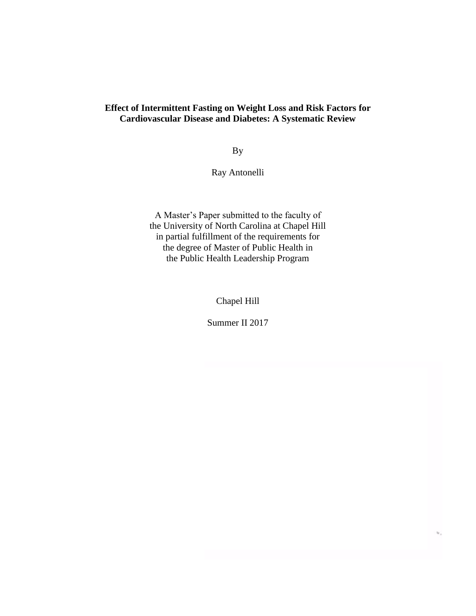## **Effect of Intermittent Fasting on Weight Loss and Risk Factors for Cardiovascular Disease and Diabetes: A Systematic Review**

By

Ray Antonelli

A Master's Paper submitted to the faculty of the University of North Carolina at Chapel Hill in partial fulfillment of the requirements for the degree of Master of Public Health in the Public Health Leadership Program

Chapel Hill

Summer II 2017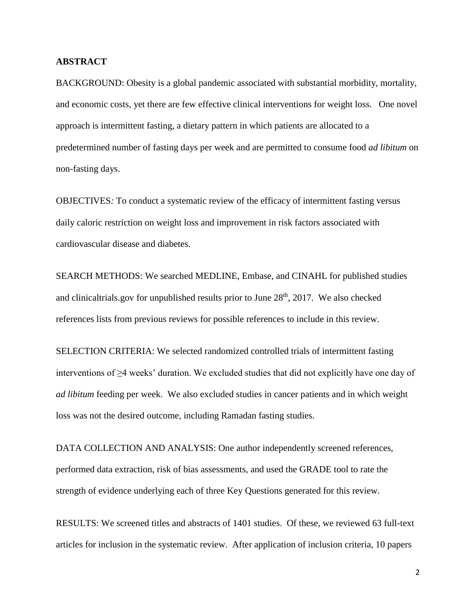## **ABSTRACT**

BACKGROUND: Obesity is a global pandemic associated with substantial morbidity, mortality, and economic costs, yet there are few effective clinical interventions for weight loss. One novel approach is intermittent fasting, a dietary pattern in which patients are allocated to a predetermined number of fasting days per week and are permitted to consume food *ad libitum* on non-fasting days.

OBJECTIVES*:* To conduct a systematic review of the efficacy of intermittent fasting versus daily caloric restriction on weight loss and improvement in risk factors associated with cardiovascular disease and diabetes.

SEARCH METHODS: We searched MEDLINE, Embase, and CINAHL for published studies and clinicaltrials, gov for unpublished results prior to June  $28<sup>th</sup>$ ,  $2017$ . We also checked references lists from previous reviews for possible references to include in this review.

SELECTION CRITERIA: We selected randomized controlled trials of intermittent fasting interventions of  $\geq 4$  weeks' duration. We excluded studies that did not explicitly have one day of *ad libitum* feeding per week. We also excluded studies in cancer patients and in which weight loss was not the desired outcome, including Ramadan fasting studies.

DATA COLLECTION AND ANALYSIS: One author independently screened references, performed data extraction, risk of bias assessments, and used the GRADE tool to rate the strength of evidence underlying each of three Key Questions generated for this review.

RESULTS: We screened titles and abstracts of 1401 studies. Of these, we reviewed 63 full-text articles for inclusion in the systematic review. After application of inclusion criteria, 10 papers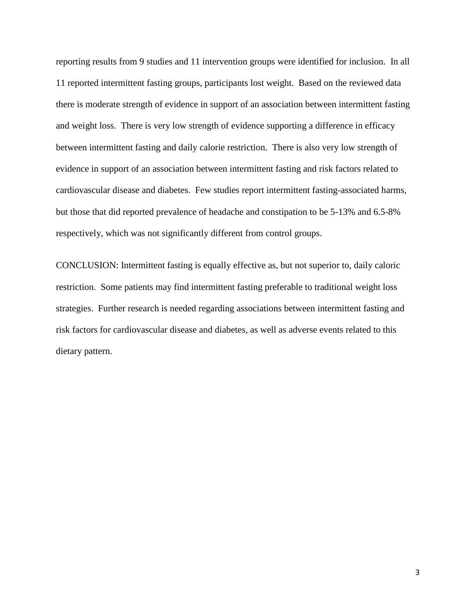reporting results from 9 studies and 11 intervention groups were identified for inclusion. In all 11 reported intermittent fasting groups, participants lost weight. Based on the reviewed data there is moderate strength of evidence in support of an association between intermittent fasting and weight loss. There is very low strength of evidence supporting a difference in efficacy between intermittent fasting and daily calorie restriction. There is also very low strength of evidence in support of an association between intermittent fasting and risk factors related to cardiovascular disease and diabetes. Few studies report intermittent fasting-associated harms, but those that did reported prevalence of headache and constipation to be 5-13% and 6.5-8% respectively, which was not significantly different from control groups.

CONCLUSION: Intermittent fasting is equally effective as, but not superior to, daily caloric restriction. Some patients may find intermittent fasting preferable to traditional weight loss strategies. Further research is needed regarding associations between intermittent fasting and risk factors for cardiovascular disease and diabetes, as well as adverse events related to this dietary pattern.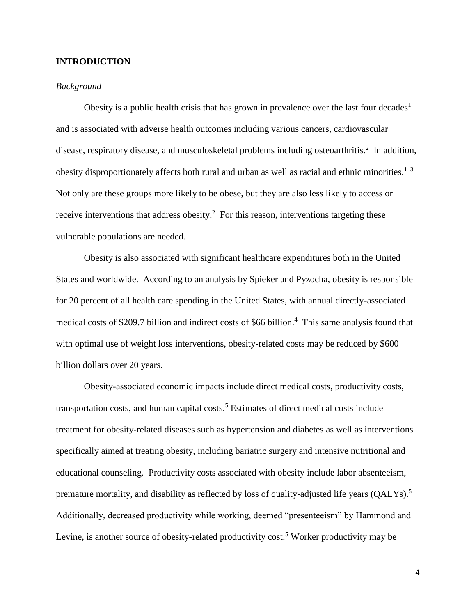## **INTRODUCTION**

#### *Background*

Obesity is a public health crisis that has grown in prevalence over the last four decades<sup>1</sup> and is associated with adverse health outcomes including various cancers, cardiovascular disease, respiratory disease, and musculoskeletal problems including osteoarthritis.<sup>2</sup> In addition, obesity disproportionately affects both rural and urban as well as racial and ethnic minorities.<sup>1–3</sup> Not only are these groups more likely to be obese, but they are also less likely to access or receive interventions that address obesity.<sup>2</sup> For this reason, interventions targeting these vulnerable populations are needed.

Obesity is also associated with significant healthcare expenditures both in the United States and worldwide. According to an analysis by Spieker and Pyzocha, obesity is responsible for 20 percent of all health care spending in the United States, with annual directly-associated medical costs of \$209.7 billion and indirect costs of \$66 billion.<sup>4</sup> This same analysis found that with optimal use of weight loss interventions, obesity-related costs may be reduced by \$600 billion dollars over 20 years.

Obesity-associated economic impacts include direct medical costs, productivity costs, transportation costs, and human capital costs.<sup>5</sup> Estimates of direct medical costs include treatment for obesity-related diseases such as hypertension and diabetes as well as interventions specifically aimed at treating obesity, including bariatric surgery and intensive nutritional and educational counseling. Productivity costs associated with obesity include labor absenteeism, premature mortality, and disability as reflected by loss of quality-adjusted life years (QALYs).<sup>5</sup> Additionally, decreased productivity while working, deemed "presenteeism" by Hammond and Levine, is another source of obesity-related productivity cost.<sup>5</sup> Worker productivity may be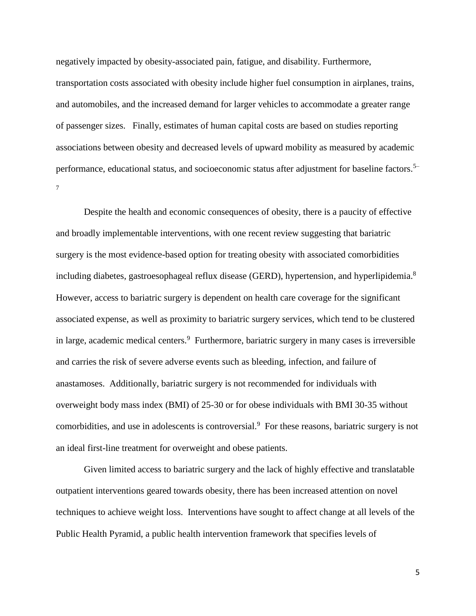negatively impacted by obesity-associated pain, fatigue, and disability. Furthermore, transportation costs associated with obesity include higher fuel consumption in airplanes, trains, and automobiles, and the increased demand for larger vehicles to accommodate a greater range of passenger sizes. Finally, estimates of human capital costs are based on studies reporting associations between obesity and decreased levels of upward mobility as measured by academic performance, educational status, and socioeconomic status after adjustment for baseline factors.<sup>5–</sup> 7

Despite the health and economic consequences of obesity, there is a paucity of effective and broadly implementable interventions, with one recent review suggesting that bariatric surgery is the most evidence-based option for treating obesity with associated comorbidities including diabetes, gastroesophageal reflux disease (GERD), hypertension, and hyperlipidemia.<sup>8</sup> However, access to bariatric surgery is dependent on health care coverage for the significant associated expense, as well as proximity to bariatric surgery services, which tend to be clustered in large, academic medical centers.<sup>9</sup> Furthermore, bariatric surgery in many cases is irreversible and carries the risk of severe adverse events such as bleeding, infection, and failure of anastamoses. Additionally, bariatric surgery is not recommended for individuals with overweight body mass index (BMI) of 25-30 or for obese individuals with BMI 30-35 without comorbidities, and use in adolescents is controversial. $9$  For these reasons, bariatric surgery is not an ideal first-line treatment for overweight and obese patients.

Given limited access to bariatric surgery and the lack of highly effective and translatable outpatient interventions geared towards obesity, there has been increased attention on novel techniques to achieve weight loss. Interventions have sought to affect change at all levels of the Public Health Pyramid, a public health intervention framework that specifies levels of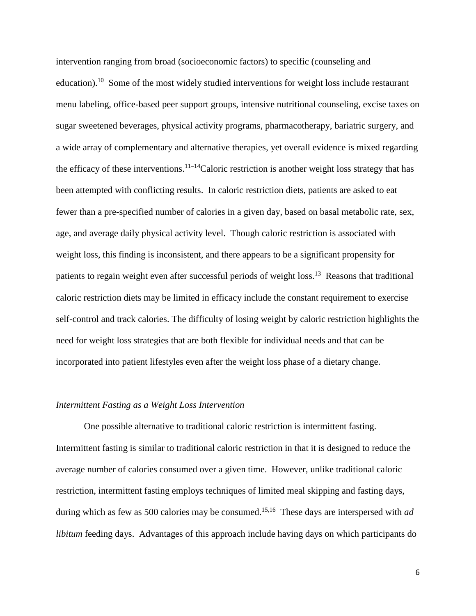intervention ranging from broad (socioeconomic factors) to specific (counseling and education).<sup>10</sup> Some of the most widely studied interventions for weight loss include restaurant menu labeling, office-based peer support groups, intensive nutritional counseling, excise taxes on sugar sweetened beverages, physical activity programs, pharmacotherapy, bariatric surgery, and a wide array of complementary and alternative therapies, yet overall evidence is mixed regarding the efficacy of these interventions.<sup>11–14</sup>Caloric restriction is another weight loss strategy that has been attempted with conflicting results. In caloric restriction diets, patients are asked to eat fewer than a pre-specified number of calories in a given day, based on basal metabolic rate, sex, age, and average daily physical activity level. Though caloric restriction is associated with weight loss, this finding is inconsistent, and there appears to be a significant propensity for patients to regain weight even after successful periods of weight loss.<sup>13</sup> Reasons that traditional caloric restriction diets may be limited in efficacy include the constant requirement to exercise self-control and track calories. The difficulty of losing weight by caloric restriction highlights the need for weight loss strategies that are both flexible for individual needs and that can be incorporated into patient lifestyles even after the weight loss phase of a dietary change.

#### *Intermittent Fasting as a Weight Loss Intervention*

One possible alternative to traditional caloric restriction is intermittent fasting. Intermittent fasting is similar to traditional caloric restriction in that it is designed to reduce the average number of calories consumed over a given time. However, unlike traditional caloric restriction, intermittent fasting employs techniques of limited meal skipping and fasting days, during which as few as 500 calories may be consumed.<sup>15,16</sup> These days are interspersed with *ad libitum* feeding days. Advantages of this approach include having days on which participants do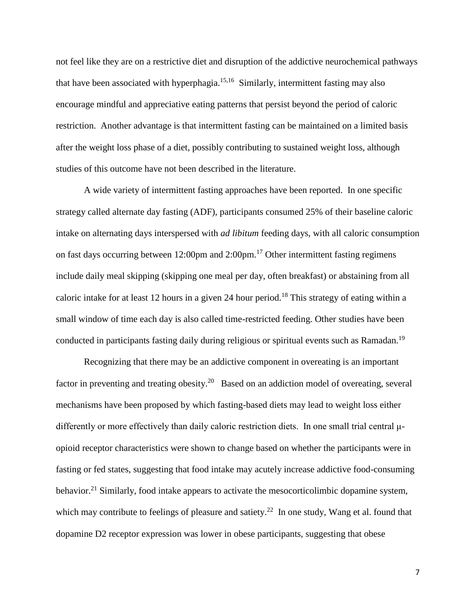not feel like they are on a restrictive diet and disruption of the addictive neurochemical pathways that have been associated with hyperphagia.<sup>15,16</sup> Similarly, intermittent fasting may also encourage mindful and appreciative eating patterns that persist beyond the period of caloric restriction. Another advantage is that intermittent fasting can be maintained on a limited basis after the weight loss phase of a diet, possibly contributing to sustained weight loss, although studies of this outcome have not been described in the literature.

A wide variety of intermittent fasting approaches have been reported. In one specific strategy called alternate day fasting (ADF), participants consumed 25% of their baseline caloric intake on alternating days interspersed with *ad libitum* feeding days, with all caloric consumption on fast days occurring between 12:00pm and 2:00pm.<sup>17</sup> Other intermittent fasting regimens include daily meal skipping (skipping one meal per day, often breakfast) or abstaining from all caloric intake for at least 12 hours in a given 24 hour period.<sup>18</sup> This strategy of eating within a small window of time each day is also called time-restricted feeding. Other studies have been conducted in participants fasting daily during religious or spiritual events such as Ramadan.<sup>19</sup>

Recognizing that there may be an addictive component in overeating is an important factor in preventing and treating obesity.<sup>20</sup> Based on an addiction model of overeating, several mechanisms have been proposed by which fasting-based diets may lead to weight loss either differently or more effectively than daily caloric restriction diets. In one small trial central μopioid receptor characteristics were shown to change based on whether the participants were in fasting or fed states, suggesting that food intake may acutely increase addictive food-consuming behavior.<sup>21</sup> Similarly, food intake appears to activate the mesocorticolimbic dopamine system, which may contribute to feelings of pleasure and satiety.<sup>22</sup> In one study, Wang et al. found that dopamine D2 receptor expression was lower in obese participants, suggesting that obese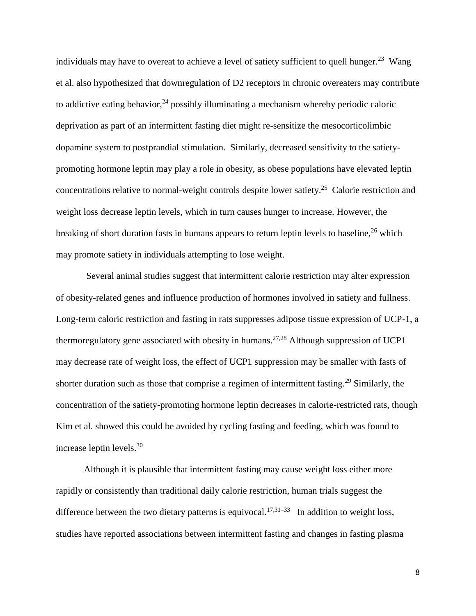individuals may have to overeat to achieve a level of satiety sufficient to quell hunger.<sup>23</sup> Wang et al. also hypothesized that downregulation of D2 receptors in chronic overeaters may contribute to addictive eating behavior,  $24$  possibly illuminating a mechanism whereby periodic caloric deprivation as part of an intermittent fasting diet might re-sensitize the mesocorticolimbic dopamine system to postprandial stimulation. Similarly, decreased sensitivity to the satietypromoting hormone leptin may play a role in obesity, as obese populations have elevated leptin concentrations relative to normal-weight controls despite lower satiety.<sup>25</sup> Calorie restriction and weight loss decrease leptin levels, which in turn causes hunger to increase. However, the breaking of short duration fasts in humans appears to return leptin levels to baseline,  $2<sup>6</sup>$  which may promote satiety in individuals attempting to lose weight.

Several animal studies suggest that intermittent calorie restriction may alter expression of obesity-related genes and influence production of hormones involved in satiety and fullness. Long-term caloric restriction and fasting in rats suppresses adipose tissue expression of UCP-1, a thermoregulatory gene associated with obesity in humans.<sup>27,28</sup> Although suppression of UCP1 may decrease rate of weight loss, the effect of UCP1 suppression may be smaller with fasts of shorter duration such as those that comprise a regimen of intermittent fasting.<sup>29</sup> Similarly, the concentration of the satiety-promoting hormone leptin decreases in calorie-restricted rats, though Kim et al. showed this could be avoided by cycling fasting and feeding, which was found to increase leptin levels.<sup>30</sup>

Although it is plausible that intermittent fasting may cause weight loss either more rapidly or consistently than traditional daily calorie restriction, human trials suggest the difference between the two dietary patterns is equivocal.<sup>17,31-33</sup> In addition to weight loss, studies have reported associations between intermittent fasting and changes in fasting plasma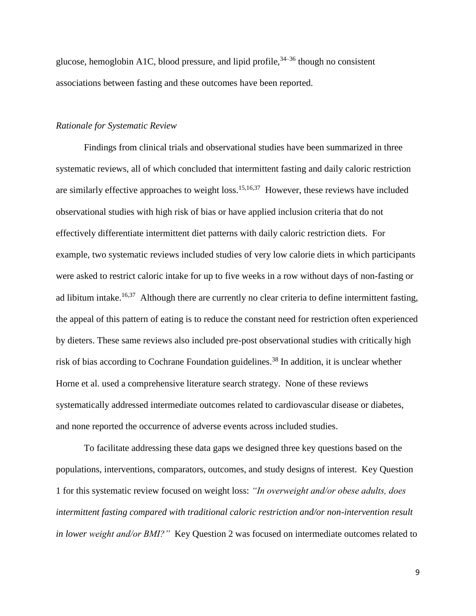glucose, hemoglobin A1C, blood pressure, and lipid profile,  $34-36$  though no consistent associations between fasting and these outcomes have been reported.

## *Rationale for Systematic Review*

Findings from clinical trials and observational studies have been summarized in three systematic reviews, all of which concluded that intermittent fasting and daily caloric restriction are similarly effective approaches to weight loss.<sup>15,16,37</sup> However, these reviews have included observational studies with high risk of bias or have applied inclusion criteria that do not effectively differentiate intermittent diet patterns with daily caloric restriction diets. For example, two systematic reviews included studies of very low calorie diets in which participants were asked to restrict caloric intake for up to five weeks in a row without days of non-fasting or ad libitum intake.<sup>16,37</sup> Although there are currently no clear criteria to define intermittent fasting, the appeal of this pattern of eating is to reduce the constant need for restriction often experienced by dieters. These same reviews also included pre-post observational studies with critically high risk of bias according to Cochrane Foundation guidelines.<sup>38</sup> In addition, it is unclear whether Horne et al. used a comprehensive literature search strategy. None of these reviews systematically addressed intermediate outcomes related to cardiovascular disease or diabetes, and none reported the occurrence of adverse events across included studies.

To facilitate addressing these data gaps we designed three key questions based on the populations, interventions, comparators, outcomes, and study designs of interest. Key Question 1 for this systematic review focused on weight loss: *"In overweight and/or obese adults, does intermittent fasting compared with traditional caloric restriction and/or non-intervention result in lower weight and/or BMI?"* Key Question 2 was focused on intermediate outcomes related to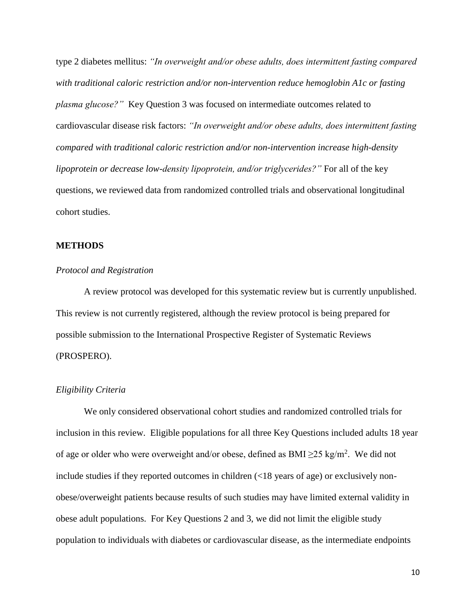type 2 diabetes mellitus: *"In overweight and/or obese adults, does intermittent fasting compared with traditional caloric restriction and/or non-intervention reduce hemoglobin A1c or fasting plasma glucose?"* Key Question 3 was focused on intermediate outcomes related to cardiovascular disease risk factors: *"In overweight and/or obese adults, does intermittent fasting compared with traditional caloric restriction and/or non-intervention increase high-density lipoprotein or decrease low-density lipoprotein, and/or triglycerides?"* For all of the key questions, we reviewed data from randomized controlled trials and observational longitudinal cohort studies.

## **METHODS**

## *Protocol and Registration*

A review protocol was developed for this systematic review but is currently unpublished. This review is not currently registered, although the review protocol is being prepared for possible submission to the International Prospective Register of Systematic Reviews (PROSPERO).

## *Eligibility Criteria*

We only considered observational cohort studies and randomized controlled trials for inclusion in this review. Eligible populations for all three Key Questions included adults 18 year of age or older who were overweight and/or obese, defined as  $BMI \geq 25$  kg/m<sup>2</sup>. We did not include studies if they reported outcomes in children (<18 years of age) or exclusively nonobese/overweight patients because results of such studies may have limited external validity in obese adult populations. For Key Questions 2 and 3, we did not limit the eligible study population to individuals with diabetes or cardiovascular disease, as the intermediate endpoints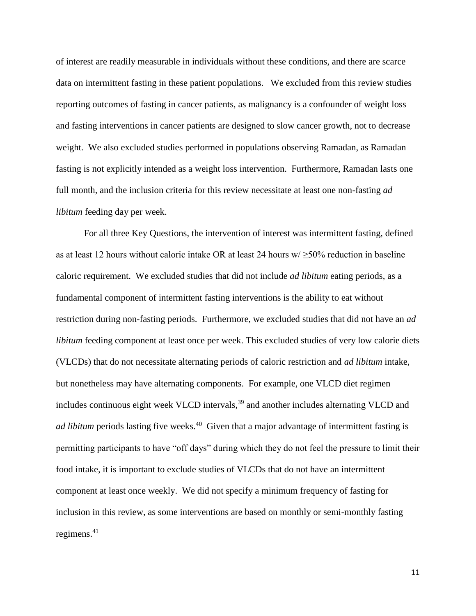of interest are readily measurable in individuals without these conditions, and there are scarce data on intermittent fasting in these patient populations. We excluded from this review studies reporting outcomes of fasting in cancer patients, as malignancy is a confounder of weight loss and fasting interventions in cancer patients are designed to slow cancer growth, not to decrease weight. We also excluded studies performed in populations observing Ramadan, as Ramadan fasting is not explicitly intended as a weight loss intervention. Furthermore, Ramadan lasts one full month, and the inclusion criteria for this review necessitate at least one non-fasting *ad libitum* feeding day per week.

For all three Key Questions, the intervention of interest was intermittent fasting, defined as at least 12 hours without caloric intake OR at least 24 hours  $w \ge 50\%$  reduction in baseline caloric requirement. We excluded studies that did not include *ad libitum* eating periods, as a fundamental component of intermittent fasting interventions is the ability to eat without restriction during non-fasting periods. Furthermore, we excluded studies that did not have an *ad libitum* feeding component at least once per week. This excluded studies of very low calorie diets (VLCDs) that do not necessitate alternating periods of caloric restriction and *ad libitum* intake, but nonetheless may have alternating components. For example, one VLCD diet regimen includes continuous eight week VLCD intervals,<sup>39</sup> and another includes alternating VLCD and *ad libitum* periods lasting five weeks.<sup>40</sup> Given that a major advantage of intermittent fasting is permitting participants to have "off days" during which they do not feel the pressure to limit their food intake, it is important to exclude studies of VLCDs that do not have an intermittent component at least once weekly. We did not specify a minimum frequency of fasting for inclusion in this review, as some interventions are based on monthly or semi-monthly fasting regimens. $41$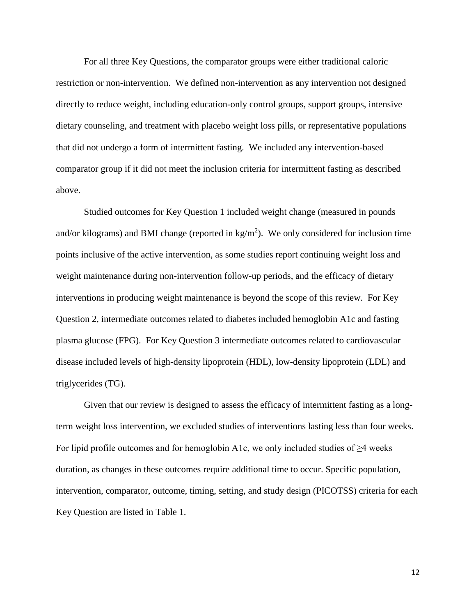For all three Key Questions, the comparator groups were either traditional caloric restriction or non-intervention. We defined non-intervention as any intervention not designed directly to reduce weight, including education-only control groups, support groups, intensive dietary counseling, and treatment with placebo weight loss pills, or representative populations that did not undergo a form of intermittent fasting. We included any intervention-based comparator group if it did not meet the inclusion criteria for intermittent fasting as described above.

Studied outcomes for Key Question 1 included weight change (measured in pounds and/or kilograms) and BMI change (reported in  $kg/m<sup>2</sup>$ ). We only considered for inclusion time points inclusive of the active intervention, as some studies report continuing weight loss and weight maintenance during non-intervention follow-up periods, and the efficacy of dietary interventions in producing weight maintenance is beyond the scope of this review. For Key Question 2, intermediate outcomes related to diabetes included hemoglobin A1c and fasting plasma glucose (FPG). For Key Question 3 intermediate outcomes related to cardiovascular disease included levels of high-density lipoprotein (HDL), low-density lipoprotein (LDL) and triglycerides (TG).

Given that our review is designed to assess the efficacy of intermittent fasting as a longterm weight loss intervention, we excluded studies of interventions lasting less than four weeks. For lipid profile outcomes and for hemoglobin A1c, we only included studies of  $\geq$ 4 weeks duration, as changes in these outcomes require additional time to occur. Specific population, intervention, comparator, outcome, timing, setting, and study design (PICOTSS) criteria for each Key Question are listed in Table 1.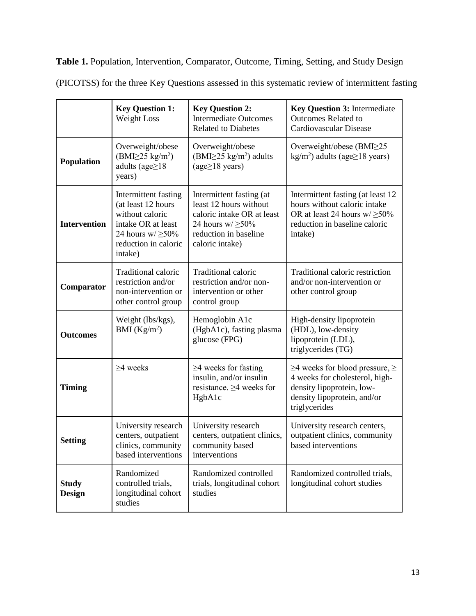**Table 1.** Population, Intervention, Comparator, Outcome, Timing, Setting, and Study Design (PICOTSS) for the three Key Questions assessed in this systematic review of intermittent fasting

|                               | <b>Key Question 1:</b><br>Weight Loss                                                                                                            | <b>Key Question 2:</b><br><b>Intermediate Outcomes</b><br><b>Related to Diabetes</b>                                                                   | <b>Key Question 3: Intermediate</b><br><b>Outcomes Related to</b><br><b>Cardiovascular Disease</b>                                                       |
|-------------------------------|--------------------------------------------------------------------------------------------------------------------------------------------------|--------------------------------------------------------------------------------------------------------------------------------------------------------|----------------------------------------------------------------------------------------------------------------------------------------------------------|
| <b>Population</b>             | Overweight/obese<br>$(BMI\geq 25 \text{ kg/m}^2)$<br>adults (age $\geq$ 18<br>years)                                                             | Overweight/obese<br>$(BMI\geq 25 \text{ kg/m}^2)$ adults<br>$(age \geq 18 \text{ years})$                                                              | Overweight/obese (BMI $\geq$ 25<br>kg/m <sup>2</sup> ) adults (age $\geq$ 18 years)                                                                      |
| <b>Intervention</b>           | Intermittent fasting<br>(at least 12 hours<br>without caloric<br>intake OR at least<br>24 hours $w/\geq 50\%$<br>reduction in caloric<br>intake) | Intermittent fasting (at<br>least 12 hours without<br>caloric intake OR at least<br>24 hours $w/\geq 50\%$<br>reduction in baseline<br>caloric intake) | Intermittent fasting (at least 12)<br>hours without caloric intake<br>OR at least 24 hours $w/\geq 50\%$<br>reduction in baseline caloric<br>intake)     |
| Comparator                    | Traditional caloric<br>restriction and/or<br>non-intervention or<br>other control group                                                          | Traditional caloric<br>restriction and/or non-<br>intervention or other<br>control group                                                               | Traditional caloric restriction<br>and/or non-intervention or<br>other control group                                                                     |
| <b>Outcomes</b>               | Weight (lbs/kgs),<br>BMI $(Kg/m^2)$                                                                                                              | Hemoglobin A1c<br>(HgbA1c), fasting plasma<br>glucose (FPG)                                                                                            | High-density lipoprotein<br>(HDL), low-density<br>lipoprotein (LDL),<br>triglycerides (TG)                                                               |
| <b>Timing</b>                 | $\geq$ 4 weeks                                                                                                                                   | $\geq$ 4 weeks for fasting<br>insulin, and/or insulin<br>resistance. $\geq$ 4 weeks for<br>HgbA1c                                                      | $\geq$ 4 weeks for blood pressure, $\geq$<br>4 weeks for cholesterol, high-<br>density lipoprotein, low-<br>density lipoprotein, and/or<br>triglycerides |
| <b>Setting</b>                | University research<br>centers, outpatient<br>clinics, community<br>based interventions                                                          | University research<br>centers, outpatient clinics,<br>community based<br>interventions                                                                | University research centers,<br>outpatient clinics, community<br>based interventions                                                                     |
| <b>Study</b><br><b>Design</b> | Randomized<br>controlled trials,<br>longitudinal cohort<br>studies                                                                               | Randomized controlled<br>trials, longitudinal cohort<br>studies                                                                                        | Randomized controlled trials,<br>longitudinal cohort studies                                                                                             |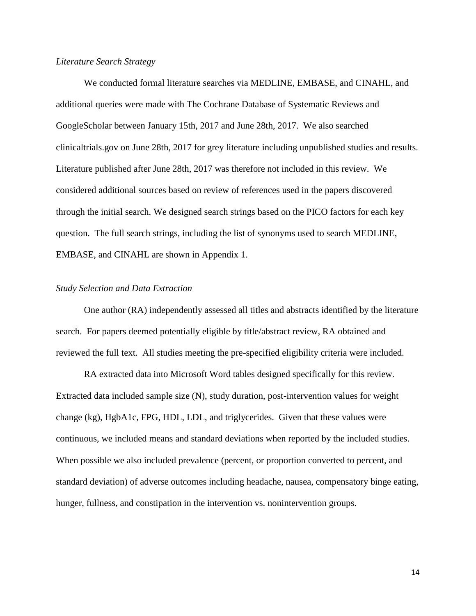## *Literature Search Strategy*

We conducted formal literature searches via MEDLINE, EMBASE, and CINAHL, and additional queries were made with The Cochrane Database of Systematic Reviews and GoogleScholar between January 15th, 2017 and June 28th, 2017. We also searched clinicaltrials.gov on June 28th, 2017 for grey literature including unpublished studies and results. Literature published after June 28th, 2017 was therefore not included in this review. We considered additional sources based on review of references used in the papers discovered through the initial search. We designed search strings based on the PICO factors for each key question. The full search strings, including the list of synonyms used to search MEDLINE, EMBASE, and CINAHL are shown in Appendix 1.

### *Study Selection and Data Extraction*

One author (RA) independently assessed all titles and abstracts identified by the literature search. For papers deemed potentially eligible by title/abstract review, RA obtained and reviewed the full text. All studies meeting the pre-specified eligibility criteria were included.

RA extracted data into Microsoft Word tables designed specifically for this review. Extracted data included sample size (N), study duration, post-intervention values for weight change (kg), HgbA1c, FPG, HDL, LDL, and triglycerides. Given that these values were continuous, we included means and standard deviations when reported by the included studies. When possible we also included prevalence (percent, or proportion converted to percent, and standard deviation) of adverse outcomes including headache, nausea, compensatory binge eating, hunger, fullness, and constipation in the intervention vs. nonintervention groups.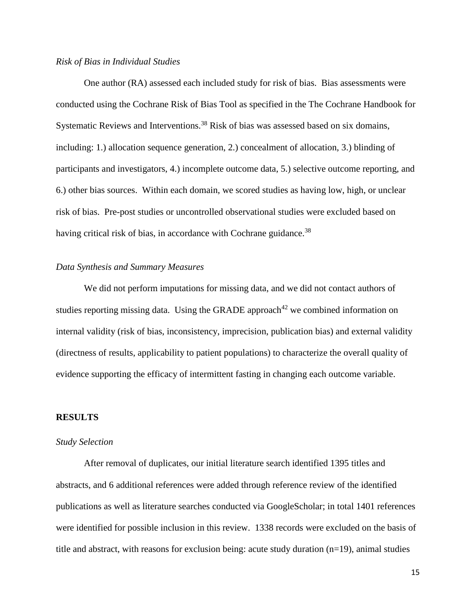## *Risk of Bias in Individual Studies*

One author (RA) assessed each included study for risk of bias. Bias assessments were conducted using the Cochrane Risk of Bias Tool as specified in the The Cochrane Handbook for Systematic Reviews and Interventions.<sup>38</sup> Risk of bias was assessed based on six domains, including: 1.) allocation sequence generation, 2.) concealment of allocation, 3.) blinding of participants and investigators, 4.) incomplete outcome data, 5.) selective outcome reporting, and 6.) other bias sources. Within each domain, we scored studies as having low, high, or unclear risk of bias. Pre-post studies or uncontrolled observational studies were excluded based on having critical risk of bias, in accordance with Cochrane guidance.<sup>38</sup>

## *Data Synthesis and Summary Measures*

We did not perform imputations for missing data, and we did not contact authors of studies reporting missing data. Using the GRADE approach<sup>42</sup> we combined information on internal validity (risk of bias, inconsistency, imprecision, publication bias) and external validity (directness of results, applicability to patient populations) to characterize the overall quality of evidence supporting the efficacy of intermittent fasting in changing each outcome variable.

#### **RESULTS**

#### *Study Selection*

After removal of duplicates, our initial literature search identified 1395 titles and abstracts, and 6 additional references were added through reference review of the identified publications as well as literature searches conducted via GoogleScholar; in total 1401 references were identified for possible inclusion in this review. 1338 records were excluded on the basis of title and abstract, with reasons for exclusion being: acute study duration (n=19), animal studies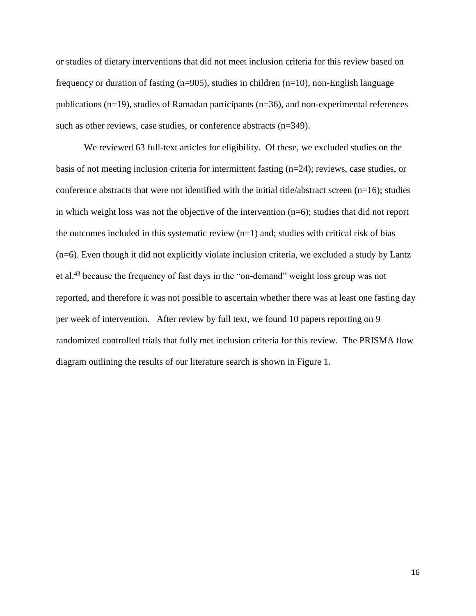or studies of dietary interventions that did not meet inclusion criteria for this review based on frequency or duration of fasting (n=905), studies in children (n=10), non-English language publications (n=19), studies of Ramadan participants (n=36), and non-experimental references such as other reviews, case studies, or conference abstracts (n=349).

We reviewed 63 full-text articles for eligibility. Of these, we excluded studies on the basis of not meeting inclusion criteria for intermittent fasting (n=24); reviews, case studies, or conference abstracts that were not identified with the initial title/abstract screen (n=16); studies in which weight loss was not the objective of the intervention (n=6); studies that did not report the outcomes included in this systematic review  $(n=1)$  and; studies with critical risk of bias  $(n=6)$ . Even though it did not explicitly violate inclusion criteria, we excluded a study by Lantz et al.<sup>43</sup> because the frequency of fast days in the "on-demand" weight loss group was not reported, and therefore it was not possible to ascertain whether there was at least one fasting day per week of intervention. After review by full text, we found 10 papers reporting on 9 randomized controlled trials that fully met inclusion criteria for this review. The PRISMA flow diagram outlining the results of our literature search is shown in Figure 1.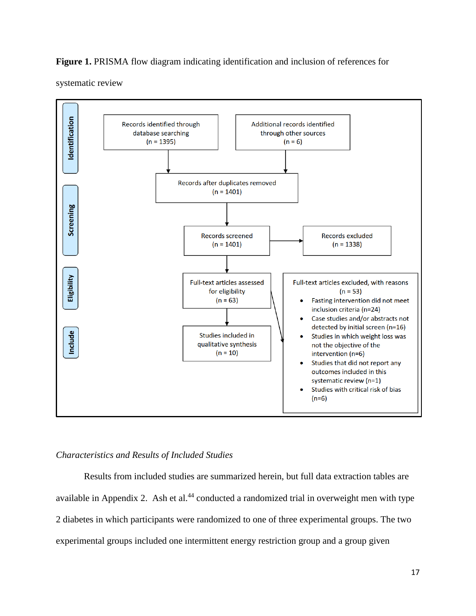## **Figure 1.** PRISMA flow diagram indicating identification and inclusion of references for

systematic review



## *Characteristics and Results of Included Studies*

Results from included studies are summarized herein, but full data extraction tables are available in Appendix 2. Ash et al. $44$  conducted a randomized trial in overweight men with type 2 diabetes in which participants were randomized to one of three experimental groups. The two experimental groups included one intermittent energy restriction group and a group given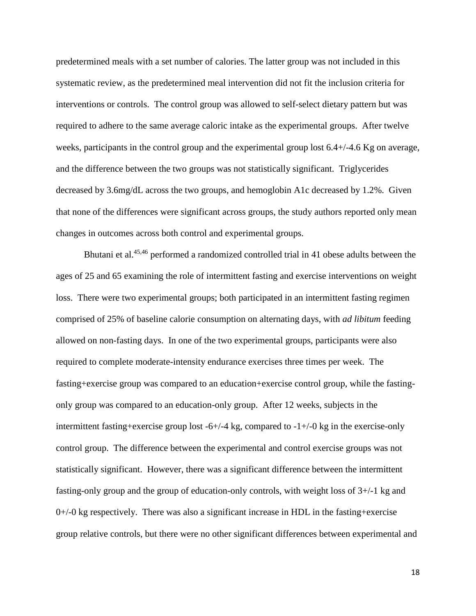predetermined meals with a set number of calories. The latter group was not included in this systematic review, as the predetermined meal intervention did not fit the inclusion criteria for interventions or controls. The control group was allowed to self-select dietary pattern but was required to adhere to the same average caloric intake as the experimental groups. After twelve weeks, participants in the control group and the experimental group lost 6.4+/-4.6 Kg on average, and the difference between the two groups was not statistically significant. Triglycerides decreased by 3.6mg/dL across the two groups, and hemoglobin A1c decreased by 1.2%. Given that none of the differences were significant across groups, the study authors reported only mean changes in outcomes across both control and experimental groups.

Bhutani et al.<sup>45,46</sup> performed a randomized controlled trial in 41 obese adults between the ages of 25 and 65 examining the role of intermittent fasting and exercise interventions on weight loss. There were two experimental groups; both participated in an intermittent fasting regimen comprised of 25% of baseline calorie consumption on alternating days, with *ad libitum* feeding allowed on non-fasting days. In one of the two experimental groups, participants were also required to complete moderate-intensity endurance exercises three times per week. The fasting+exercise group was compared to an education+exercise control group, while the fastingonly group was compared to an education-only group. After 12 weeks, subjects in the intermittent fasting+exercise group lost  $-6+/-4$  kg, compared to  $-1+/-0$  kg in the exercise-only control group. The difference between the experimental and control exercise groups was not statistically significant. However, there was a significant difference between the intermittent fasting-only group and the group of education-only controls, with weight loss of 3+/-1 kg and  $0+/-0$  kg respectively. There was also a significant increase in HDL in the fasting+exercise group relative controls, but there were no other significant differences between experimental and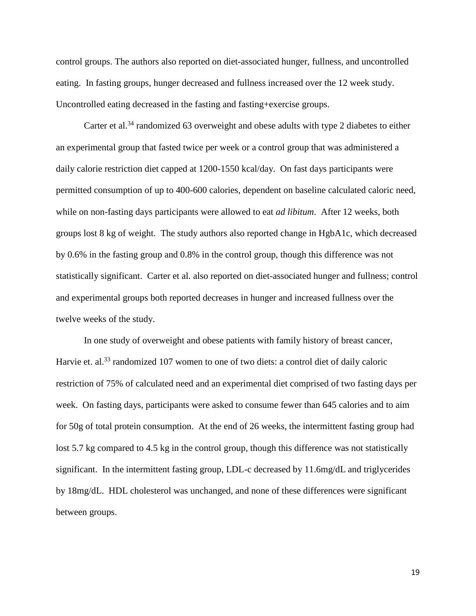control groups. The authors also reported on diet-associated hunger, fullness, and uncontrolled eating. In fasting groups, hunger decreased and fullness increased over the 12 week study. Uncontrolled eating decreased in the fasting and fasting+exercise groups.

Carter et al.<sup>34</sup> randomized 63 overweight and obese adults with type 2 diabetes to either an experimental group that fasted twice per week or a control group that was administered a daily calorie restriction diet capped at 1200-1550 kcal/day. On fast days participants were permitted consumption of up to 400-600 calories, dependent on baseline calculated caloric need, while on non-fasting days participants were allowed to eat *ad libitum*. After 12 weeks, both groups lost 8 kg of weight. The study authors also reported change in HgbA1c, which decreased by 0.6% in the fasting group and 0.8% in the control group, though this difference was not statistically significant. Carter et al. also reported on diet-associated hunger and fullness; control and experimental groups both reported decreases in hunger and increased fullness over the twelve weeks of the study.

In one study of overweight and obese patients with family history of breast cancer, Harvie et. al.<sup>33</sup> randomized 107 women to one of two diets: a control diet of daily caloric restriction of 75% of calculated need and an experimental diet comprised of two fasting days per week. On fasting days, participants were asked to consume fewer than 645 calories and to aim for 50g of total protein consumption. At the end of 26 weeks, the intermittent fasting group had lost 5.7 kg compared to 4.5 kg in the control group, though this difference was not statistically significant. In the intermittent fasting group, LDL-c decreased by 11.6mg/dL and triglycerides by 18mg/dL. HDL cholesterol was unchanged, and none of these differences were significant between groups.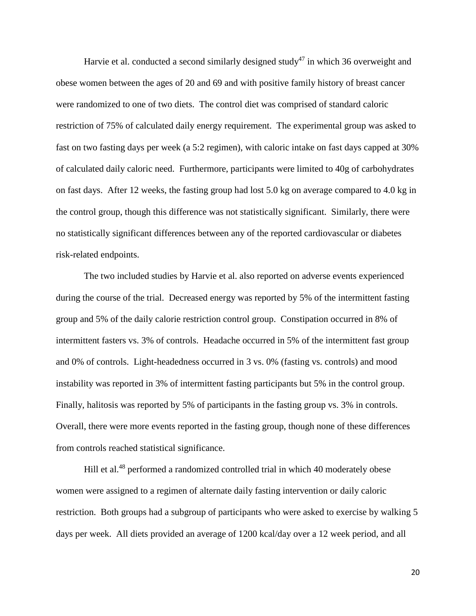Harvie et al. conducted a second similarly designed study<sup>47</sup> in which 36 overweight and obese women between the ages of 20 and 69 and with positive family history of breast cancer were randomized to one of two diets. The control diet was comprised of standard caloric restriction of 75% of calculated daily energy requirement. The experimental group was asked to fast on two fasting days per week (a 5:2 regimen), with caloric intake on fast days capped at 30% of calculated daily caloric need. Furthermore, participants were limited to 40g of carbohydrates on fast days. After 12 weeks, the fasting group had lost 5.0 kg on average compared to 4.0 kg in the control group, though this difference was not statistically significant. Similarly, there were no statistically significant differences between any of the reported cardiovascular or diabetes risk-related endpoints.

The two included studies by Harvie et al. also reported on adverse events experienced during the course of the trial. Decreased energy was reported by 5% of the intermittent fasting group and 5% of the daily calorie restriction control group. Constipation occurred in 8% of intermittent fasters vs. 3% of controls. Headache occurred in 5% of the intermittent fast group and 0% of controls. Light-headedness occurred in 3 vs. 0% (fasting vs. controls) and mood instability was reported in 3% of intermittent fasting participants but 5% in the control group. Finally, halitosis was reported by 5% of participants in the fasting group vs. 3% in controls. Overall, there were more events reported in the fasting group, though none of these differences from controls reached statistical significance.

Hill et al.<sup>48</sup> performed a randomized controlled trial in which 40 moderately obese women were assigned to a regimen of alternate daily fasting intervention or daily caloric restriction. Both groups had a subgroup of participants who were asked to exercise by walking 5 days per week. All diets provided an average of 1200 kcal/day over a 12 week period, and all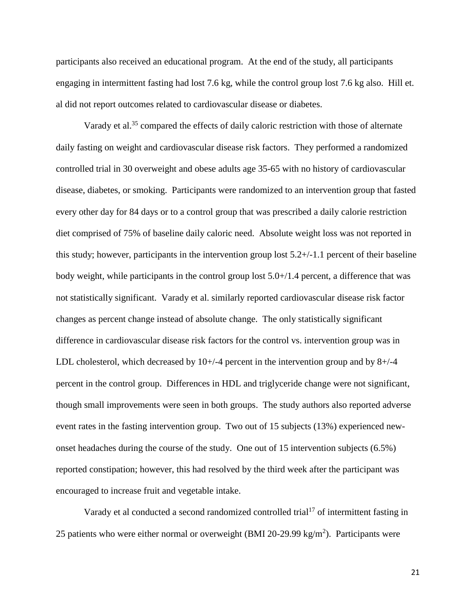participants also received an educational program. At the end of the study, all participants engaging in intermittent fasting had lost 7.6 kg, while the control group lost 7.6 kg also. Hill et. al did not report outcomes related to cardiovascular disease or diabetes.

Varady et al.<sup>35</sup> compared the effects of daily caloric restriction with those of alternate daily fasting on weight and cardiovascular disease risk factors. They performed a randomized controlled trial in 30 overweight and obese adults age 35-65 with no history of cardiovascular disease, diabetes, or smoking. Participants were randomized to an intervention group that fasted every other day for 84 days or to a control group that was prescribed a daily calorie restriction diet comprised of 75% of baseline daily caloric need. Absolute weight loss was not reported in this study; however, participants in the intervention group lost  $5.2+/-1.1$  percent of their baseline body weight, while participants in the control group lost 5.0+/1.4 percent, a difference that was not statistically significant. Varady et al. similarly reported cardiovascular disease risk factor changes as percent change instead of absolute change. The only statistically significant difference in cardiovascular disease risk factors for the control vs. intervention group was in LDL cholesterol, which decreased by  $10+/4$  percent in the intervention group and by 8+/-4 percent in the control group. Differences in HDL and triglyceride change were not significant, though small improvements were seen in both groups. The study authors also reported adverse event rates in the fasting intervention group. Two out of 15 subjects (13%) experienced newonset headaches during the course of the study. One out of 15 intervention subjects (6.5%) reported constipation; however, this had resolved by the third week after the participant was encouraged to increase fruit and vegetable intake.

Varady et al conducted a second randomized controlled trial<sup>17</sup> of intermittent fasting in 25 patients who were either normal or overweight (BMI 20-29.99 kg/m<sup>2</sup>). Participants were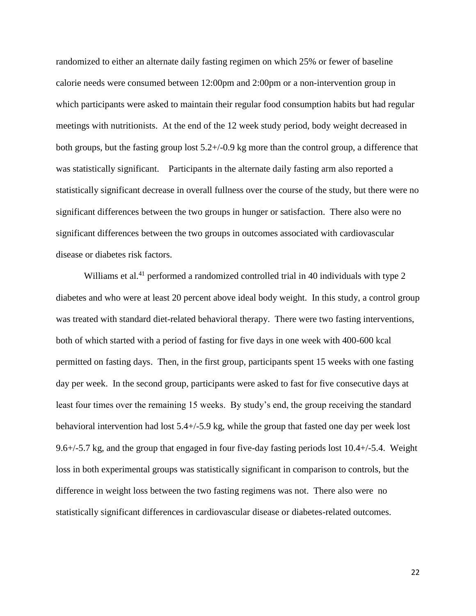randomized to either an alternate daily fasting regimen on which 25% or fewer of baseline calorie needs were consumed between 12:00pm and 2:00pm or a non-intervention group in which participants were asked to maintain their regular food consumption habits but had regular meetings with nutritionists. At the end of the 12 week study period, body weight decreased in both groups, but the fasting group lost  $5.2+\frac{1}{9}$ . Reg more than the control group, a difference that was statistically significant. Participants in the alternate daily fasting arm also reported a statistically significant decrease in overall fullness over the course of the study, but there were no significant differences between the two groups in hunger or satisfaction. There also were no significant differences between the two groups in outcomes associated with cardiovascular disease or diabetes risk factors.

Williams et al.<sup>41</sup> performed a randomized controlled trial in 40 individuals with type 2 diabetes and who were at least 20 percent above ideal body weight. In this study, a control group was treated with standard diet-related behavioral therapy. There were two fasting interventions, both of which started with a period of fasting for five days in one week with 400-600 kcal permitted on fasting days. Then, in the first group, participants spent 15 weeks with one fasting day per week. In the second group, participants were asked to fast for five consecutive days at least four times over the remaining 15 weeks. By study's end, the group receiving the standard behavioral intervention had lost 5.4+/-5.9 kg, while the group that fasted one day per week lost 9.6+/-5.7 kg, and the group that engaged in four five-day fasting periods lost 10.4+/-5.4. Weight loss in both experimental groups was statistically significant in comparison to controls, but the difference in weight loss between the two fasting regimens was not. There also were no statistically significant differences in cardiovascular disease or diabetes-related outcomes.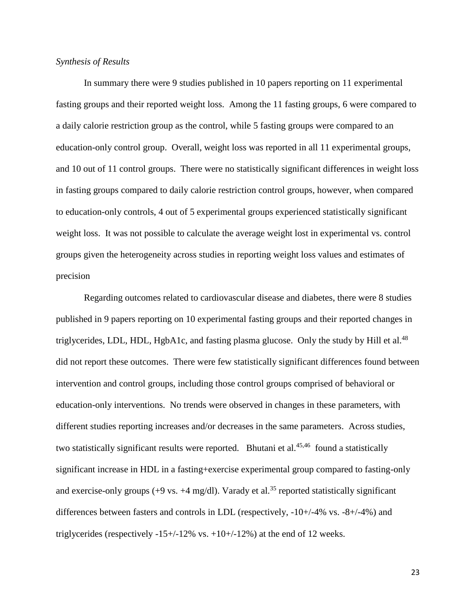## *Synthesis of Results*

In summary there were 9 studies published in 10 papers reporting on 11 experimental fasting groups and their reported weight loss. Among the 11 fasting groups, 6 were compared to a daily calorie restriction group as the control, while 5 fasting groups were compared to an education-only control group. Overall, weight loss was reported in all 11 experimental groups, and 10 out of 11 control groups. There were no statistically significant differences in weight loss in fasting groups compared to daily calorie restriction control groups, however, when compared to education-only controls, 4 out of 5 experimental groups experienced statistically significant weight loss. It was not possible to calculate the average weight lost in experimental vs. control groups given the heterogeneity across studies in reporting weight loss values and estimates of precision

Regarding outcomes related to cardiovascular disease and diabetes, there were 8 studies published in 9 papers reporting on 10 experimental fasting groups and their reported changes in triglycerides, LDL, HDL, HgbA1c, and fasting plasma glucose. Only the study by Hill et al.<sup>48</sup> did not report these outcomes. There were few statistically significant differences found between intervention and control groups, including those control groups comprised of behavioral or education-only interventions. No trends were observed in changes in these parameters, with different studies reporting increases and/or decreases in the same parameters. Across studies, two statistically significant results were reported. Bhutani et al.<sup>45,46</sup> found a statistically significant increase in HDL in a fasting+exercise experimental group compared to fasting-only and exercise-only groups  $(+9 \text{ vs. } +4 \text{ mg/dl})$ . Varady et al.<sup>35</sup> reported statistically significant differences between fasters and controls in LDL (respectively, -10+/-4% vs. -8+/-4%) and triglycerides (respectively  $-15+/12\%$  vs.  $+10+/12\%$ ) at the end of 12 weeks.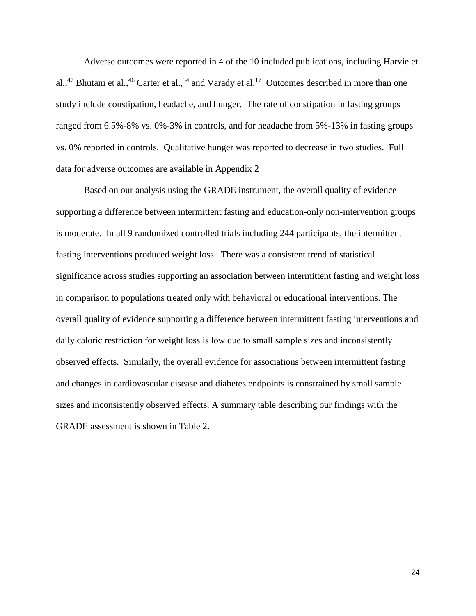Adverse outcomes were reported in 4 of the 10 included publications, including Harvie et al.,<sup>47</sup> Bhutani et al.,<sup>46</sup> Carter et al.,<sup>34</sup> and Varady et al.<sup>17</sup> Outcomes described in more than one study include constipation, headache, and hunger. The rate of constipation in fasting groups ranged from 6.5%-8% vs. 0%-3% in controls, and for headache from 5%-13% in fasting groups vs. 0% reported in controls. Qualitative hunger was reported to decrease in two studies. Full data for adverse outcomes are available in Appendix 2

Based on our analysis using the GRADE instrument, the overall quality of evidence supporting a difference between intermittent fasting and education-only non-intervention groups is moderate. In all 9 randomized controlled trials including 244 participants, the intermittent fasting interventions produced weight loss. There was a consistent trend of statistical significance across studies supporting an association between intermittent fasting and weight loss in comparison to populations treated only with behavioral or educational interventions. The overall quality of evidence supporting a difference between intermittent fasting interventions and daily caloric restriction for weight loss is low due to small sample sizes and inconsistently observed effects. Similarly, the overall evidence for associations between intermittent fasting and changes in cardiovascular disease and diabetes endpoints is constrained by small sample sizes and inconsistently observed effects. A summary table describing our findings with the GRADE assessment is shown in Table 2.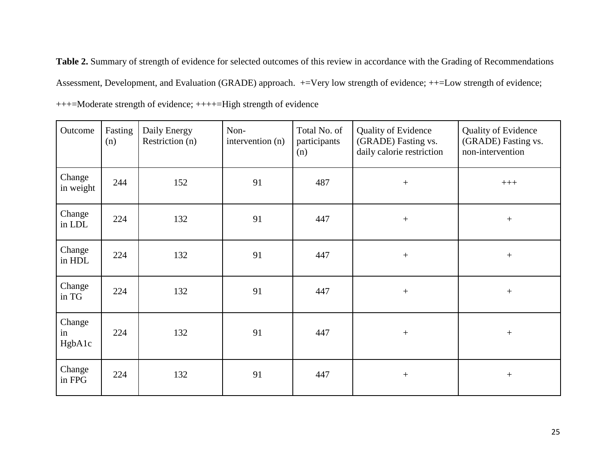**Table 2.** Summary of strength of evidence for selected outcomes of this review in accordance with the Grading of Recommendations Assessment, Development, and Evaluation (GRADE) approach. +=Very low strength of evidence; ++=Low strength of evidence; +++=Moderate strength of evidence; ++++=High strength of evidence

| Outcome                | Fasting<br>(n) | Daily Energy<br>Restriction (n) | Non-<br>intervention (n) | Total No. of<br>participants<br>(n) | <b>Quality of Evidence</b><br>(GRADE) Fasting vs.<br>daily calorie restriction | <b>Quality of Evidence</b><br>(GRADE) Fasting vs.<br>non-intervention |
|------------------------|----------------|---------------------------------|--------------------------|-------------------------------------|--------------------------------------------------------------------------------|-----------------------------------------------------------------------|
| Change<br>in weight    | 244            | 152                             | 91                       | 487                                 | $\boldsymbol{+}$                                                               | $+++$                                                                 |
| Change<br>in LDL       | 224            | 132                             | 91                       | 447                                 | $\boldsymbol{+}$                                                               | $+$                                                                   |
| Change<br>in HDL       | 224            | 132                             | 91                       | 447                                 | $\boldsymbol{+}$                                                               | $+$                                                                   |
| Change<br>in TG        | 224            | 132                             | 91                       | 447                                 | $\boldsymbol{+}$                                                               | $+$                                                                   |
| Change<br>in<br>HgbA1c | 224            | 132                             | 91                       | 447                                 | $\boldsymbol{+}$                                                               | $\boldsymbol{+}$                                                      |
| Change<br>in FPG       | 224            | 132                             | 91                       | 447                                 | $\boldsymbol{+}$                                                               | $+$                                                                   |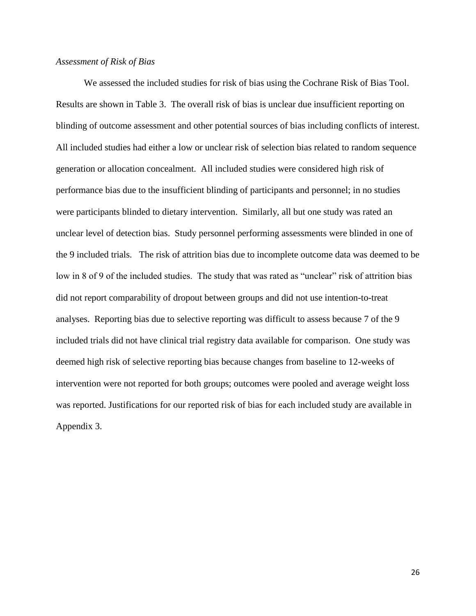#### *Assessment of Risk of Bias*

We assessed the included studies for risk of bias using the Cochrane Risk of Bias Tool. Results are shown in Table 3. The overall risk of bias is unclear due insufficient reporting on blinding of outcome assessment and other potential sources of bias including conflicts of interest. All included studies had either a low or unclear risk of selection bias related to random sequence generation or allocation concealment. All included studies were considered high risk of performance bias due to the insufficient blinding of participants and personnel; in no studies were participants blinded to dietary intervention. Similarly, all but one study was rated an unclear level of detection bias. Study personnel performing assessments were blinded in one of the 9 included trials. The risk of attrition bias due to incomplete outcome data was deemed to be low in 8 of 9 of the included studies. The study that was rated as "unclear" risk of attrition bias did not report comparability of dropout between groups and did not use intention-to-treat analyses. Reporting bias due to selective reporting was difficult to assess because 7 of the 9 included trials did not have clinical trial registry data available for comparison. One study was deemed high risk of selective reporting bias because changes from baseline to 12-weeks of intervention were not reported for both groups; outcomes were pooled and average weight loss was reported. Justifications for our reported risk of bias for each included study are available in Appendix 3.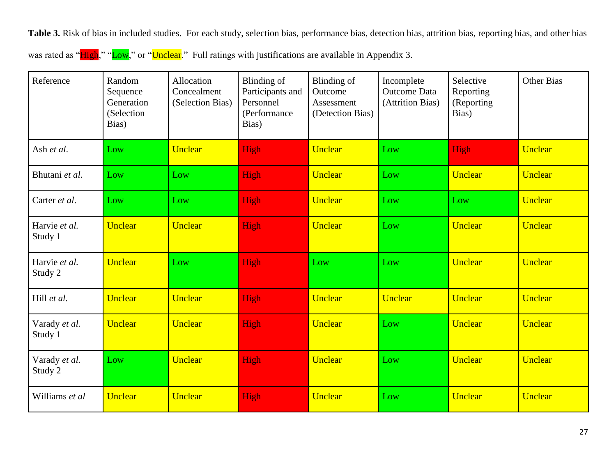**Table 3.** Risk of bias in included studies. For each study, selection bias, performance bias, detection bias, attrition bias, reporting bias, and other bias

|  |  |  | was rated as "High," "Low," or "Unclear." Full ratings with justifications are available in Appendix 3. |  |
|--|--|--|---------------------------------------------------------------------------------------------------------|--|
|--|--|--|---------------------------------------------------------------------------------------------------------|--|

| Reference                | Random<br>Sequence<br>Generation<br>(Selection<br>Bias) | Allocation<br>Concealment<br>(Selection Bias) | Blinding of<br>Participants and<br>Personnel<br>(Performance<br>Bias) | Blinding of<br>Outcome<br>Assessment<br>(Detection Bias) | Incomplete<br>Outcome Data<br>(Attrition Bias) | Selective<br>Reporting<br>(Reporting<br>Bias) | <b>Other Bias</b> |
|--------------------------|---------------------------------------------------------|-----------------------------------------------|-----------------------------------------------------------------------|----------------------------------------------------------|------------------------------------------------|-----------------------------------------------|-------------------|
| Ash et al.               | Low                                                     | Unclear                                       | High                                                                  | Unclear                                                  | Low                                            | High                                          | <b>Unclear</b>    |
| Bhutani et al.           | Low                                                     | Low                                           | High                                                                  | <b>Unclear</b>                                           | Low                                            | Unclear                                       | Unclear           |
| Carter et al.            | Low                                                     | Low                                           | High                                                                  | Unclear                                                  | Low                                            | Low                                           | Unclear           |
| Harvie et al.<br>Study 1 | Unclear                                                 | Unclear                                       | High                                                                  | Unclear                                                  | Low                                            | <b>Unclear</b>                                | <b>Unclear</b>    |
| Harvie et al.<br>Study 2 | Unclear                                                 | Low                                           | High                                                                  | Low                                                      | Low                                            | Unclear                                       | Unclear           |
| Hill et al.              | <b>Unclear</b>                                          | Unclear                                       | High                                                                  | Unclear                                                  | Unclear                                        | <b>Unclear</b>                                | Unclear           |
| Varady et al.<br>Study 1 | Unclear                                                 | <b>Unclear</b>                                | High                                                                  | Unclear                                                  | Low                                            | <b>Unclear</b>                                | Unclear           |
| Varady et al.<br>Study 2 | Low                                                     | Unclear                                       | High                                                                  | Unclear                                                  | Low                                            | <b>Unclear</b>                                | Unclear           |
| Williams et al           | Unclear                                                 | Unclear                                       | High                                                                  | Unclear                                                  | Low                                            | Unclear                                       | <b>Unclear</b>    |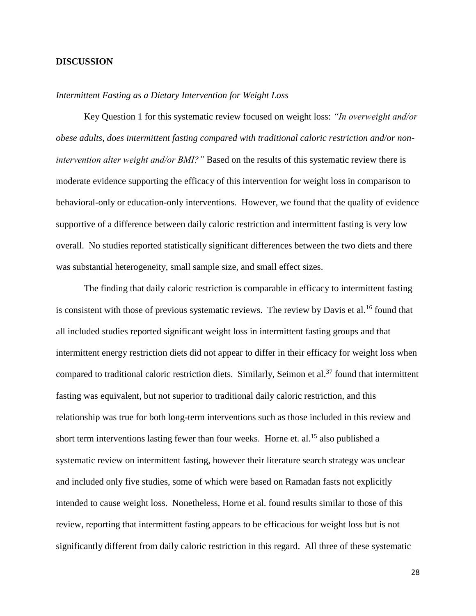## **DISCUSSION**

## *Intermittent Fasting as a Dietary Intervention for Weight Loss*

Key Question 1 for this systematic review focused on weight loss: *"In overweight and/or obese adults, does intermittent fasting compared with traditional caloric restriction and/or nonintervention alter weight and/or BMI?*" Based on the results of this systematic review there is moderate evidence supporting the efficacy of this intervention for weight loss in comparison to behavioral-only or education-only interventions. However, we found that the quality of evidence supportive of a difference between daily caloric restriction and intermittent fasting is very low overall. No studies reported statistically significant differences between the two diets and there was substantial heterogeneity, small sample size, and small effect sizes.

The finding that daily caloric restriction is comparable in efficacy to intermittent fasting is consistent with those of previous systematic reviews. The review by Davis et al.<sup>16</sup> found that all included studies reported significant weight loss in intermittent fasting groups and that intermittent energy restriction diets did not appear to differ in their efficacy for weight loss when compared to traditional caloric restriction diets. Similarly, Seimon et al.<sup>37</sup> found that intermittent fasting was equivalent, but not superior to traditional daily caloric restriction, and this relationship was true for both long-term interventions such as those included in this review and short term interventions lasting fewer than four weeks. Horne et. al.<sup>15</sup> also published a systematic review on intermittent fasting, however their literature search strategy was unclear and included only five studies, some of which were based on Ramadan fasts not explicitly intended to cause weight loss. Nonetheless, Horne et al. found results similar to those of this review, reporting that intermittent fasting appears to be efficacious for weight loss but is not significantly different from daily caloric restriction in this regard. All three of these systematic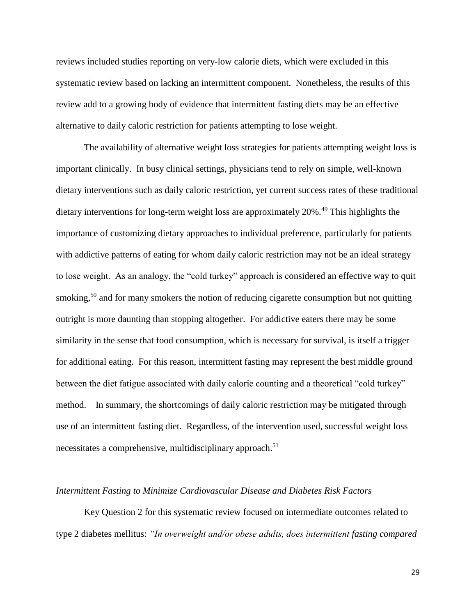reviews included studies reporting on very-low calorie diets, which were excluded in this systematic review based on lacking an intermittent component. Nonetheless, the results of this review add to a growing body of evidence that intermittent fasting diets may be an effective alternative to daily caloric restriction for patients attempting to lose weight.

The availability of alternative weight loss strategies for patients attempting weight loss is important clinically. In busy clinical settings, physicians tend to rely on simple, well-known dietary interventions such as daily caloric restriction, yet current success rates of these traditional dietary interventions for long-term weight loss are approximately 20%.<sup>49</sup> This highlights the importance of customizing dietary approaches to individual preference, particularly for patients with addictive patterns of eating for whom daily caloric restriction may not be an ideal strategy to lose weight. As an analogy, the "cold turkey" approach is considered an effective way to quit smoking,<sup>50</sup> and for many smokers the notion of reducing cigarette consumption but not quitting outright is more daunting than stopping altogether. For addictive eaters there may be some similarity in the sense that food consumption, which is necessary for survival, is itself a trigger for additional eating. For this reason, intermittent fasting may represent the best middle ground between the diet fatigue associated with daily calorie counting and a theoretical "cold turkey" method. In summary, the shortcomings of daily caloric restriction may be mitigated through use of an intermittent fasting diet. Regardless, of the intervention used, successful weight loss necessitates a comprehensive, multidisciplinary approach.<sup>51</sup>

#### *Intermittent Fasting to Minimize Cardiovascular Disease and Diabetes Risk Factors*

Key Question 2 for this systematic review focused on intermediate outcomes related to type 2 diabetes mellitus: *"In overweight and/or obese adults, does intermittent fasting compared*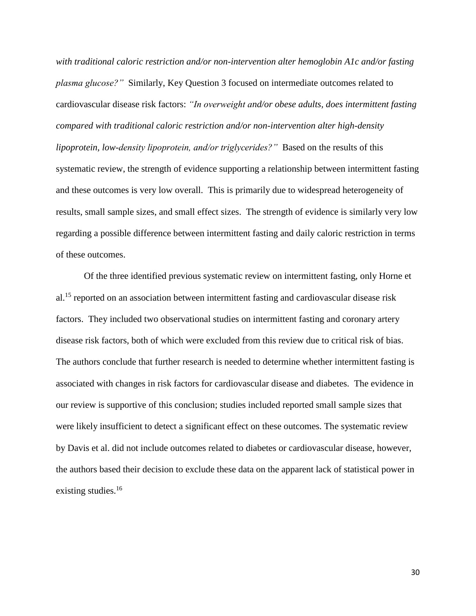*with traditional caloric restriction and/or non-intervention alter hemoglobin A1c and/or fasting plasma glucose?"* Similarly, Key Question 3 focused on intermediate outcomes related to cardiovascular disease risk factors: *"In overweight and/or obese adults, does intermittent fasting compared with traditional caloric restriction and/or non-intervention alter high-density lipoprotein, low-density lipoprotein, and/or triglycerides?"* Based on the results of this systematic review, the strength of evidence supporting a relationship between intermittent fasting and these outcomes is very low overall. This is primarily due to widespread heterogeneity of results, small sample sizes, and small effect sizes. The strength of evidence is similarly very low regarding a possible difference between intermittent fasting and daily caloric restriction in terms of these outcomes.

Of the three identified previous systematic review on intermittent fasting, only Horne et al.<sup>15</sup> reported on an association between intermittent fasting and cardiovascular disease risk factors. They included two observational studies on intermittent fasting and coronary artery disease risk factors, both of which were excluded from this review due to critical risk of bias. The authors conclude that further research is needed to determine whether intermittent fasting is associated with changes in risk factors for cardiovascular disease and diabetes. The evidence in our review is supportive of this conclusion; studies included reported small sample sizes that were likely insufficient to detect a significant effect on these outcomes. The systematic review by Davis et al. did not include outcomes related to diabetes or cardiovascular disease, however, the authors based their decision to exclude these data on the apparent lack of statistical power in existing studies.<sup>16</sup>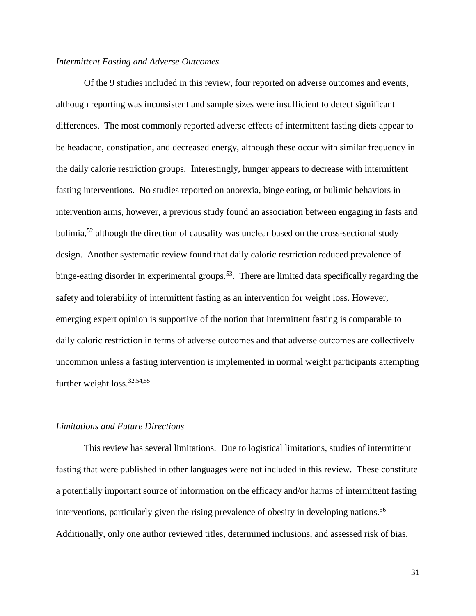## *Intermittent Fasting and Adverse Outcomes*

Of the 9 studies included in this review, four reported on adverse outcomes and events, although reporting was inconsistent and sample sizes were insufficient to detect significant differences. The most commonly reported adverse effects of intermittent fasting diets appear to be headache, constipation, and decreased energy, although these occur with similar frequency in the daily calorie restriction groups. Interestingly, hunger appears to decrease with intermittent fasting interventions. No studies reported on anorexia, binge eating, or bulimic behaviors in intervention arms, however, a previous study found an association between engaging in fasts and bulimia, $52$  although the direction of causality was unclear based on the cross-sectional study design. Another systematic review found that daily caloric restriction reduced prevalence of binge-eating disorder in experimental groups.<sup>53</sup>. There are limited data specifically regarding the safety and tolerability of intermittent fasting as an intervention for weight loss. However, emerging expert opinion is supportive of the notion that intermittent fasting is comparable to daily caloric restriction in terms of adverse outcomes and that adverse outcomes are collectively uncommon unless a fasting intervention is implemented in normal weight participants attempting further weight  $loss.<sup>32,54,55</sup>$ 

## *Limitations and Future Directions*

This review has several limitations. Due to logistical limitations, studies of intermittent fasting that were published in other languages were not included in this review. These constitute a potentially important source of information on the efficacy and/or harms of intermittent fasting interventions, particularly given the rising prevalence of obesity in developing nations.<sup>56</sup> Additionally, only one author reviewed titles, determined inclusions, and assessed risk of bias.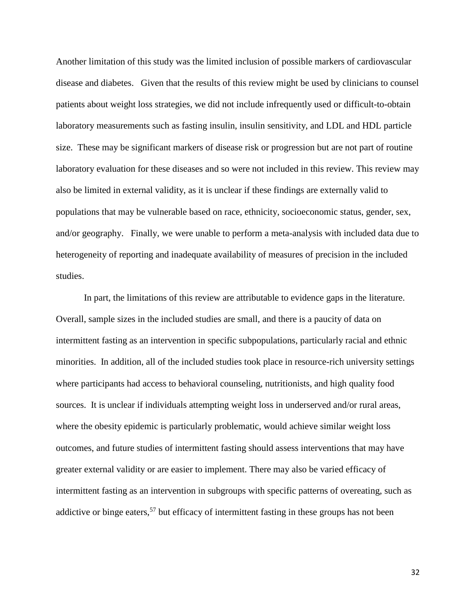Another limitation of this study was the limited inclusion of possible markers of cardiovascular disease and diabetes. Given that the results of this review might be used by clinicians to counsel patients about weight loss strategies, we did not include infrequently used or difficult-to-obtain laboratory measurements such as fasting insulin, insulin sensitivity, and LDL and HDL particle size. These may be significant markers of disease risk or progression but are not part of routine laboratory evaluation for these diseases and so were not included in this review. This review may also be limited in external validity, as it is unclear if these findings are externally valid to populations that may be vulnerable based on race, ethnicity, socioeconomic status, gender, sex, and/or geography. Finally, we were unable to perform a meta-analysis with included data due to heterogeneity of reporting and inadequate availability of measures of precision in the included studies.

In part, the limitations of this review are attributable to evidence gaps in the literature. Overall, sample sizes in the included studies are small, and there is a paucity of data on intermittent fasting as an intervention in specific subpopulations, particularly racial and ethnic minorities. In addition, all of the included studies took place in resource-rich university settings where participants had access to behavioral counseling, nutritionists, and high quality food sources. It is unclear if individuals attempting weight loss in underserved and/or rural areas, where the obesity epidemic is particularly problematic, would achieve similar weight loss outcomes, and future studies of intermittent fasting should assess interventions that may have greater external validity or are easier to implement. There may also be varied efficacy of intermittent fasting as an intervention in subgroups with specific patterns of overeating, such as addictive or binge eaters,  $57$  but efficacy of intermittent fasting in these groups has not been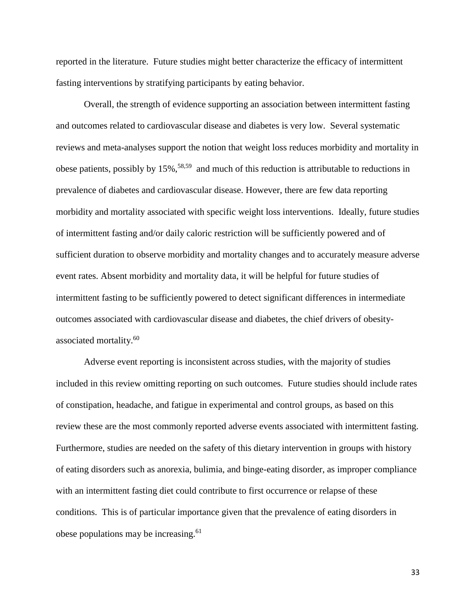reported in the literature. Future studies might better characterize the efficacy of intermittent fasting interventions by stratifying participants by eating behavior.

Overall, the strength of evidence supporting an association between intermittent fasting and outcomes related to cardiovascular disease and diabetes is very low. Several systematic reviews and meta-analyses support the notion that weight loss reduces morbidity and mortality in obese patients, possibly by 15%,<sup>58,59</sup> and much of this reduction is attributable to reductions in prevalence of diabetes and cardiovascular disease. However, there are few data reporting morbidity and mortality associated with specific weight loss interventions. Ideally, future studies of intermittent fasting and/or daily caloric restriction will be sufficiently powered and of sufficient duration to observe morbidity and mortality changes and to accurately measure adverse event rates. Absent morbidity and mortality data, it will be helpful for future studies of intermittent fasting to be sufficiently powered to detect significant differences in intermediate outcomes associated with cardiovascular disease and diabetes, the chief drivers of obesityassociated mortality.<sup>60</sup>

Adverse event reporting is inconsistent across studies, with the majority of studies included in this review omitting reporting on such outcomes. Future studies should include rates of constipation, headache, and fatigue in experimental and control groups, as based on this review these are the most commonly reported adverse events associated with intermittent fasting. Furthermore, studies are needed on the safety of this dietary intervention in groups with history of eating disorders such as anorexia, bulimia, and binge-eating disorder, as improper compliance with an intermittent fasting diet could contribute to first occurrence or relapse of these conditions. This is of particular importance given that the prevalence of eating disorders in obese populations may be increasing.<sup>61</sup>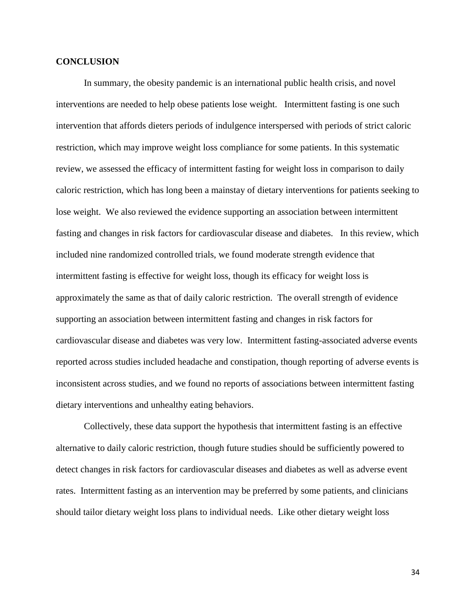## **CONCLUSION**

In summary, the obesity pandemic is an international public health crisis, and novel interventions are needed to help obese patients lose weight. Intermittent fasting is one such intervention that affords dieters periods of indulgence interspersed with periods of strict caloric restriction, which may improve weight loss compliance for some patients. In this systematic review, we assessed the efficacy of intermittent fasting for weight loss in comparison to daily caloric restriction, which has long been a mainstay of dietary interventions for patients seeking to lose weight. We also reviewed the evidence supporting an association between intermittent fasting and changes in risk factors for cardiovascular disease and diabetes. In this review, which included nine randomized controlled trials, we found moderate strength evidence that intermittent fasting is effective for weight loss, though its efficacy for weight loss is approximately the same as that of daily caloric restriction. The overall strength of evidence supporting an association between intermittent fasting and changes in risk factors for cardiovascular disease and diabetes was very low. Intermittent fasting-associated adverse events reported across studies included headache and constipation, though reporting of adverse events is inconsistent across studies, and we found no reports of associations between intermittent fasting dietary interventions and unhealthy eating behaviors.

Collectively, these data support the hypothesis that intermittent fasting is an effective alternative to daily caloric restriction, though future studies should be sufficiently powered to detect changes in risk factors for cardiovascular diseases and diabetes as well as adverse event rates. Intermittent fasting as an intervention may be preferred by some patients, and clinicians should tailor dietary weight loss plans to individual needs. Like other dietary weight loss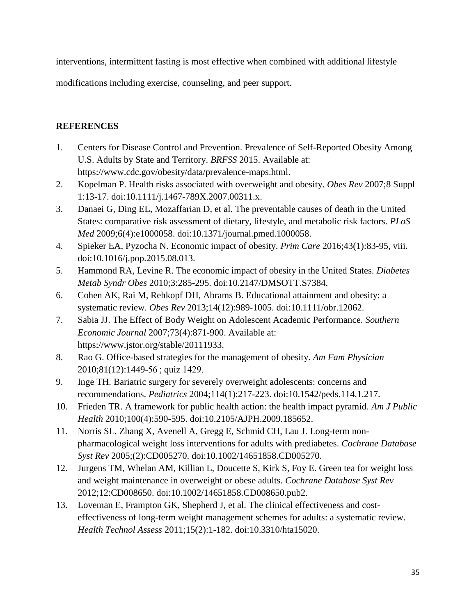interventions, intermittent fasting is most effective when combined with additional lifestyle

modifications including exercise, counseling, and peer support.

## **REFERENCES**

- 1. Centers for Disease Control and Prevention. Prevalence of Self-Reported Obesity Among U.S. Adults by State and Territory. *BRFSS* 2015. Available at: https://www.cdc.gov/obesity/data/prevalence-maps.html.
- 2. Kopelman P. Health risks associated with overweight and obesity. *Obes Rev* 2007;8 Suppl 1:13-17. doi:10.1111/j.1467-789X.2007.00311.x.
- 3. Danaei G, Ding EL, Mozaffarian D, et al. The preventable causes of death in the United States: comparative risk assessment of dietary, lifestyle, and metabolic risk factors. *PLoS Med* 2009;6(4):e1000058. doi:10.1371/journal.pmed.1000058.
- 4. Spieker EA, Pyzocha N. Economic impact of obesity. *Prim Care* 2016;43(1):83-95, viii. doi:10.1016/j.pop.2015.08.013.
- 5. Hammond RA, Levine R. The economic impact of obesity in the United States. *Diabetes Metab Syndr Obes* 2010;3:285-295. doi:10.2147/DMSOTT.S7384.
- 6. Cohen AK, Rai M, Rehkopf DH, Abrams B. Educational attainment and obesity: a systematic review. *Obes Rev* 2013;14(12):989-1005. doi:10.1111/obr.12062.
- 7. Sabia JJ. The Effect of Body Weight on Adolescent Academic Performance. *Southern Economic Journal* 2007;73(4):871-900. Available at: https://www.jstor.org/stable/20111933.
- 8. Rao G. Office-based strategies for the management of obesity. *Am Fam Physician* 2010;81(12):1449-56 ; quiz 1429.
- 9. Inge TH. Bariatric surgery for severely overweight adolescents: concerns and recommendations. *Pediatrics* 2004;114(1):217-223. doi:10.1542/peds.114.1.217.
- 10. Frieden TR. A framework for public health action: the health impact pyramid. *Am J Public Health* 2010;100(4):590-595. doi:10.2105/AJPH.2009.185652.
- 11. Norris SL, Zhang X, Avenell A, Gregg E, Schmid CH, Lau J. Long-term nonpharmacological weight loss interventions for adults with prediabetes. *Cochrane Database Syst Rev* 2005;(2):CD005270. doi:10.1002/14651858.CD005270.
- 12. Jurgens TM, Whelan AM, Killian L, Doucette S, Kirk S, Foy E. Green tea for weight loss and weight maintenance in overweight or obese adults. *Cochrane Database Syst Rev* 2012;12:CD008650. doi:10.1002/14651858.CD008650.pub2.
- 13. Loveman E, Frampton GK, Shepherd J, et al. The clinical effectiveness and costeffectiveness of long-term weight management schemes for adults: a systematic review. *Health Technol Assess* 2011;15(2):1-182. doi:10.3310/hta15020.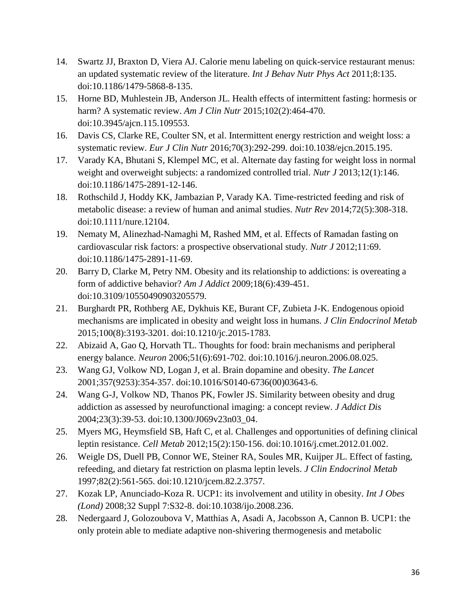- 14. Swartz JJ, Braxton D, Viera AJ. Calorie menu labeling on quick-service restaurant menus: an updated systematic review of the literature. *Int J Behav Nutr Phys Act* 2011;8:135. doi:10.1186/1479-5868-8-135.
- 15. Horne BD, Muhlestein JB, Anderson JL. Health effects of intermittent fasting: hormesis or harm? A systematic review. *Am J Clin Nutr* 2015;102(2):464-470. doi:10.3945/ajcn.115.109553.
- 16. Davis CS, Clarke RE, Coulter SN, et al. Intermittent energy restriction and weight loss: a systematic review. *Eur J Clin Nutr* 2016;70(3):292-299. doi:10.1038/ejcn.2015.195.
- 17. Varady KA, Bhutani S, Klempel MC, et al. Alternate day fasting for weight loss in normal weight and overweight subjects: a randomized controlled trial. *Nutr J* 2013;12(1):146. doi:10.1186/1475-2891-12-146.
- 18. Rothschild J, Hoddy KK, Jambazian P, Varady KA. Time-restricted feeding and risk of metabolic disease: a review of human and animal studies. *Nutr Rev* 2014;72(5):308-318. doi:10.1111/nure.12104.
- 19. Nematy M, Alinezhad-Namaghi M, Rashed MM, et al. Effects of Ramadan fasting on cardiovascular risk factors: a prospective observational study. *Nutr J* 2012;11:69. doi:10.1186/1475-2891-11-69.
- 20. Barry D, Clarke M, Petry NM. Obesity and its relationship to addictions: is overeating a form of addictive behavior? *Am J Addict* 2009;18(6):439-451. doi:10.3109/10550490903205579.
- 21. Burghardt PR, Rothberg AE, Dykhuis KE, Burant CF, Zubieta J-K. Endogenous opioid mechanisms are implicated in obesity and weight loss in humans. *J Clin Endocrinol Metab* 2015;100(8):3193-3201. doi:10.1210/jc.2015-1783.
- 22. Abizaid A, Gao Q, Horvath TL. Thoughts for food: brain mechanisms and peripheral energy balance. *Neuron* 2006;51(6):691-702. doi:10.1016/j.neuron.2006.08.025.
- 23. Wang GJ, Volkow ND, Logan J, et al. Brain dopamine and obesity. *The Lancet* 2001;357(9253):354-357. doi:10.1016/S0140-6736(00)03643-6.
- 24. Wang G-J, Volkow ND, Thanos PK, Fowler JS. Similarity between obesity and drug addiction as assessed by neurofunctional imaging: a concept review. *J Addict Dis* 2004;23(3):39-53. doi:10.1300/J069v23n03\_04.
- 25. Myers MG, Heymsfield SB, Haft C, et al. Challenges and opportunities of defining clinical leptin resistance. *Cell Metab* 2012;15(2):150-156. doi:10.1016/j.cmet.2012.01.002.
- 26. Weigle DS, Duell PB, Connor WE, Steiner RA, Soules MR, Kuijper JL. Effect of fasting, refeeding, and dietary fat restriction on plasma leptin levels. *J Clin Endocrinol Metab* 1997;82(2):561-565. doi:10.1210/jcem.82.2.3757.
- 27. Kozak LP, Anunciado-Koza R. UCP1: its involvement and utility in obesity. *Int J Obes (Lond)* 2008;32 Suppl 7:S32-8. doi:10.1038/ijo.2008.236.
- 28. Nedergaard J, Golozoubova V, Matthias A, Asadi A, Jacobsson A, Cannon B. UCP1: the only protein able to mediate adaptive non-shivering thermogenesis and metabolic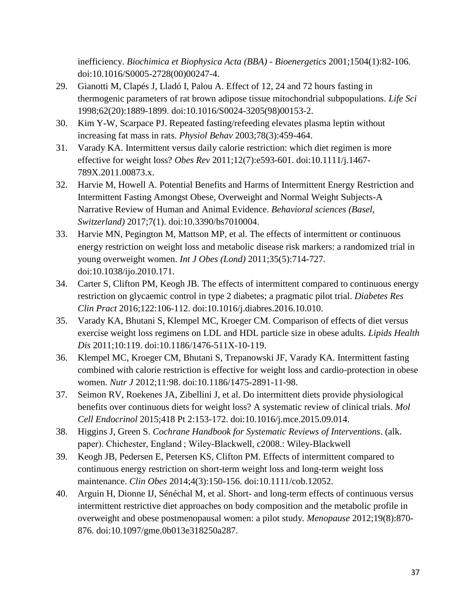inefficiency. *Biochimica et Biophysica Acta (BBA) - Bioenergetics* 2001;1504(1):82-106. doi:10.1016/S0005-2728(00)00247-4.

- 29. Gianotti M, Clapés J, Lladó I, Palou A. Effect of 12, 24 and 72 hours fasting in thermogenic parameters of rat brown adipose tissue mitochondrial subpopulations. *Life Sci* 1998;62(20):1889-1899. doi:10.1016/S0024-3205(98)00153-2.
- 30. Kim Y-W, Scarpace PJ. Repeated fasting/refeeding elevates plasma leptin without increasing fat mass in rats. *Physiol Behav* 2003;78(3):459-464.
- 31. Varady KA. Intermittent versus daily calorie restriction: which diet regimen is more effective for weight loss? *Obes Rev* 2011;12(7):e593-601. doi:10.1111/j.1467- 789X.2011.00873.x.
- 32. Harvie M, Howell A. Potential Benefits and Harms of Intermittent Energy Restriction and Intermittent Fasting Amongst Obese, Overweight and Normal Weight Subjects-A Narrative Review of Human and Animal Evidence. *Behavioral sciences (Basel, Switzerland)* 2017;7(1). doi:10.3390/bs7010004.
- 33. Harvie MN, Pegington M, Mattson MP, et al. The effects of intermittent or continuous energy restriction on weight loss and metabolic disease risk markers: a randomized trial in young overweight women. *Int J Obes (Lond)* 2011;35(5):714-727. doi:10.1038/ijo.2010.171.
- 34. Carter S, Clifton PM, Keogh JB. The effects of intermittent compared to continuous energy restriction on glycaemic control in type 2 diabetes; a pragmatic pilot trial. *Diabetes Res Clin Pract* 2016;122:106-112. doi:10.1016/j.diabres.2016.10.010.
- 35. Varady KA, Bhutani S, Klempel MC, Kroeger CM. Comparison of effects of diet versus exercise weight loss regimens on LDL and HDL particle size in obese adults. *Lipids Health Dis* 2011;10:119. doi:10.1186/1476-511X-10-119.
- 36. Klempel MC, Kroeger CM, Bhutani S, Trepanowski JF, Varady KA. Intermittent fasting combined with calorie restriction is effective for weight loss and cardio-protection in obese women. *Nutr J* 2012;11:98. doi:10.1186/1475-2891-11-98.
- 37. Seimon RV, Roekenes JA, Zibellini J, et al. Do intermittent diets provide physiological benefits over continuous diets for weight loss? A systematic review of clinical trials. *Mol Cell Endocrinol* 2015;418 Pt 2:153-172. doi:10.1016/j.mce.2015.09.014.
- 38. Higgins J, Green S. *Cochrane Handbook for Systematic Reviews of Interventions*. (alk. paper). Chichester, England ; Wiley-Blackwell, c2008.: Wiley-Blackwell
- 39. Keogh JB, Pedersen E, Petersen KS, Clifton PM. Effects of intermittent compared to continuous energy restriction on short-term weight loss and long-term weight loss maintenance. *Clin Obes* 2014;4(3):150-156. doi:10.1111/cob.12052.
- 40. Arguin H, Dionne IJ, Sénéchal M, et al. Short- and long-term effects of continuous versus intermittent restrictive diet approaches on body composition and the metabolic profile in overweight and obese postmenopausal women: a pilot study. *Menopause* 2012;19(8):870- 876. doi:10.1097/gme.0b013e318250a287.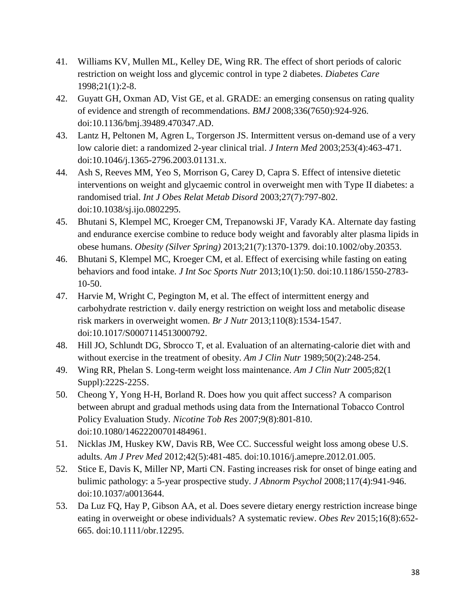- 41. Williams KV, Mullen ML, Kelley DE, Wing RR. The effect of short periods of caloric restriction on weight loss and glycemic control in type 2 diabetes. *Diabetes Care* 1998;21(1):2-8.
- 42. Guyatt GH, Oxman AD, Vist GE, et al. GRADE: an emerging consensus on rating quality of evidence and strength of recommendations. *BMJ* 2008;336(7650):924-926. doi:10.1136/bmj.39489.470347.AD.
- 43. Lantz H, Peltonen M, Agren L, Torgerson JS. Intermittent versus on-demand use of a very low calorie diet: a randomized 2-year clinical trial. *J Intern Med* 2003;253(4):463-471. doi:10.1046/j.1365-2796.2003.01131.x.
- 44. Ash S, Reeves MM, Yeo S, Morrison G, Carey D, Capra S. Effect of intensive dietetic interventions on weight and glycaemic control in overweight men with Type II diabetes: a randomised trial. *Int J Obes Relat Metab Disord* 2003;27(7):797-802. doi:10.1038/sj.ijo.0802295.
- 45. Bhutani S, Klempel MC, Kroeger CM, Trepanowski JF, Varady KA. Alternate day fasting and endurance exercise combine to reduce body weight and favorably alter plasma lipids in obese humans. *Obesity (Silver Spring)* 2013;21(7):1370-1379. doi:10.1002/oby.20353.
- 46. Bhutani S, Klempel MC, Kroeger CM, et al. Effect of exercising while fasting on eating behaviors and food intake. *J Int Soc Sports Nutr* 2013;10(1):50. doi:10.1186/1550-2783- 10-50.
- 47. Harvie M, Wright C, Pegington M, et al. The effect of intermittent energy and carbohydrate restriction v. daily energy restriction on weight loss and metabolic disease risk markers in overweight women. *Br J Nutr* 2013;110(8):1534-1547. doi:10.1017/S0007114513000792.
- 48. Hill JO, Schlundt DG, Sbrocco T, et al. Evaluation of an alternating-calorie diet with and without exercise in the treatment of obesity. *Am J Clin Nutr* 1989;50(2):248-254.
- 49. Wing RR, Phelan S. Long-term weight loss maintenance. *Am J Clin Nutr* 2005;82(1 Suppl):222S-225S.
- 50. Cheong Y, Yong H-H, Borland R. Does how you quit affect success? A comparison between abrupt and gradual methods using data from the International Tobacco Control Policy Evaluation Study. *Nicotine Tob Res* 2007;9(8):801-810. doi:10.1080/14622200701484961.
- 51. Nicklas JM, Huskey KW, Davis RB, Wee CC. Successful weight loss among obese U.S. adults. *Am J Prev Med* 2012;42(5):481-485. doi:10.1016/j.amepre.2012.01.005.
- 52. Stice E, Davis K, Miller NP, Marti CN. Fasting increases risk for onset of binge eating and bulimic pathology: a 5-year prospective study. *J Abnorm Psychol* 2008;117(4):941-946. doi:10.1037/a0013644.
- 53. Da Luz FQ, Hay P, Gibson AA, et al. Does severe dietary energy restriction increase binge eating in overweight or obese individuals? A systematic review. *Obes Rev* 2015;16(8):652- 665. doi:10.1111/obr.12295.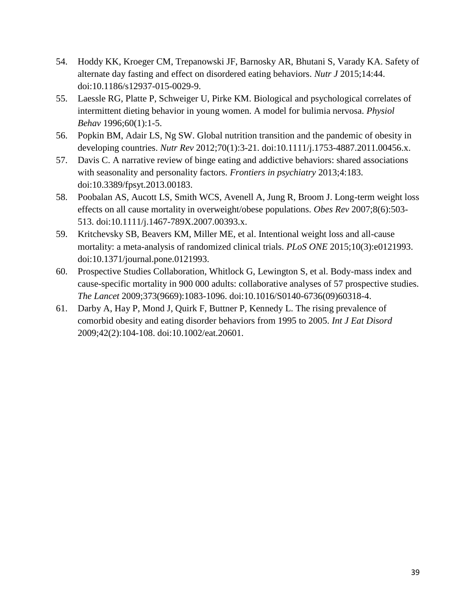- 54. Hoddy KK, Kroeger CM, Trepanowski JF, Barnosky AR, Bhutani S, Varady KA. Safety of alternate day fasting and effect on disordered eating behaviors. *Nutr J* 2015;14:44. doi:10.1186/s12937-015-0029-9.
- 55. Laessle RG, Platte P, Schweiger U, Pirke KM. Biological and psychological correlates of intermittent dieting behavior in young women. A model for bulimia nervosa. *Physiol Behav* 1996;60(1):1-5.
- 56. Popkin BM, Adair LS, Ng SW. Global nutrition transition and the pandemic of obesity in developing countries. *Nutr Rev* 2012;70(1):3-21. doi:10.1111/j.1753-4887.2011.00456.x.
- 57. Davis C. A narrative review of binge eating and addictive behaviors: shared associations with seasonality and personality factors. *Frontiers in psychiatry* 2013;4:183. doi:10.3389/fpsyt.2013.00183.
- 58. Poobalan AS, Aucott LS, Smith WCS, Avenell A, Jung R, Broom J. Long-term weight loss effects on all cause mortality in overweight/obese populations. *Obes Rev* 2007;8(6):503- 513. doi:10.1111/j.1467-789X.2007.00393.x.
- 59. Kritchevsky SB, Beavers KM, Miller ME, et al. Intentional weight loss and all-cause mortality: a meta-analysis of randomized clinical trials. *PLoS ONE* 2015;10(3):e0121993. doi:10.1371/journal.pone.0121993.
- 60. Prospective Studies Collaboration, Whitlock G, Lewington S, et al. Body-mass index and cause-specific mortality in 900 000 adults: collaborative analyses of 57 prospective studies. *The Lancet* 2009;373(9669):1083-1096. doi:10.1016/S0140-6736(09)60318-4.
- 61. Darby A, Hay P, Mond J, Quirk F, Buttner P, Kennedy L. The rising prevalence of comorbid obesity and eating disorder behaviors from 1995 to 2005. *Int J Eat Disord* 2009;42(2):104-108. doi:10.1002/eat.20601.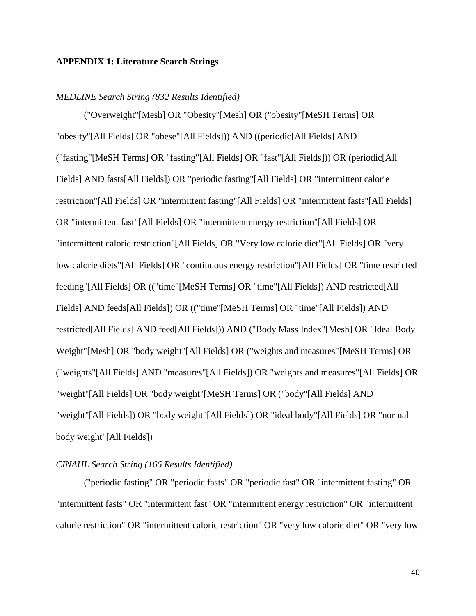## **APPENDIX 1: Literature Search Strings**

### *MEDLINE Search String (832 Results Identified)*

("Overweight"[Mesh] OR "Obesity"[Mesh] OR ("obesity"[MeSH Terms] OR "obesity"[All Fields] OR "obese"[All Fields])) AND ((periodic[All Fields] AND ("fasting"[MeSH Terms] OR "fasting"[All Fields] OR "fast"[All Fields])) OR (periodic[All Fields] AND fasts[All Fields]) OR "periodic fasting"[All Fields] OR "intermittent calorie restriction"[All Fields] OR "intermittent fasting"[All Fields] OR "intermittent fasts"[All Fields] OR "intermittent fast"[All Fields] OR "intermittent energy restriction"[All Fields] OR "intermittent caloric restriction"[All Fields] OR "Very low calorie diet"[All Fields] OR "very low calorie diets"[All Fields] OR "continuous energy restriction"[All Fields] OR "time restricted feeding"[All Fields] OR (("time"[MeSH Terms] OR "time"[All Fields]) AND restricted[All Fields] AND feeds[All Fields]) OR (("time"[MeSH Terms] OR "time"[All Fields]) AND restricted[All Fields] AND feed[All Fields])) AND ("Body Mass Index"[Mesh] OR "Ideal Body Weight"[Mesh] OR "body weight"[All Fields] OR ("weights and measures"[MeSH Terms] OR ("weights"[All Fields] AND "measures"[All Fields]) OR "weights and measures"[All Fields] OR "weight"[All Fields] OR "body weight"[MeSH Terms] OR ("body"[All Fields] AND "weight"[All Fields]) OR "body weight"[All Fields]) OR "ideal body"[All Fields] OR "normal body weight"[All Fields])

## *CINAHL Search String (166 Results Identified)*

("periodic fasting" OR "periodic fasts" OR "periodic fast" OR "intermittent fasting" OR "intermittent fasts" OR "intermittent fast" OR "intermittent energy restriction" OR "intermittent calorie restriction" OR "intermittent caloric restriction" OR "very low calorie diet" OR "very low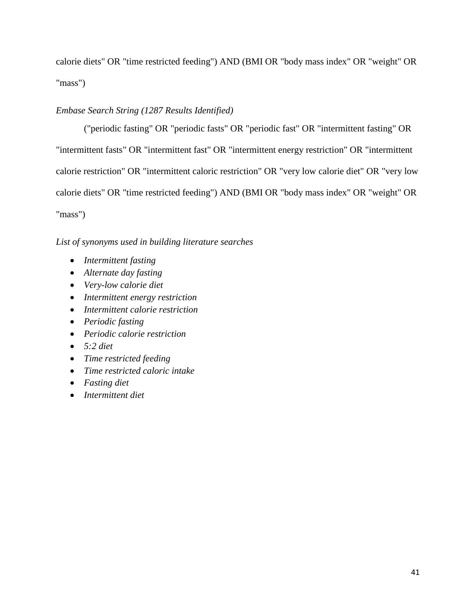calorie diets" OR "time restricted feeding") AND (BMI OR "body mass index" OR "weight" OR "mass")

## *Embase Search String (1287 Results Identified)*

("periodic fasting" OR "periodic fasts" OR "periodic fast" OR "intermittent fasting" OR "intermittent fasts" OR "intermittent fast" OR "intermittent energy restriction" OR "intermittent calorie restriction" OR "intermittent caloric restriction" OR "very low calorie diet" OR "very low calorie diets" OR "time restricted feeding") AND (BMI OR "body mass index" OR "weight" OR "mass")

## *List of synonyms used in building literature searches*

- *Intermittent fasting*
- *Alternate day fasting*
- *Very-low calorie diet*
- *Intermittent energy restriction*
- *Intermittent calorie restriction*
- *Periodic fasting*
- *Periodic calorie restriction*
- *5:2 diet*
- *Time restricted feeding*
- *Time restricted caloric intake*
- *Fasting diet*
- *Intermittent diet*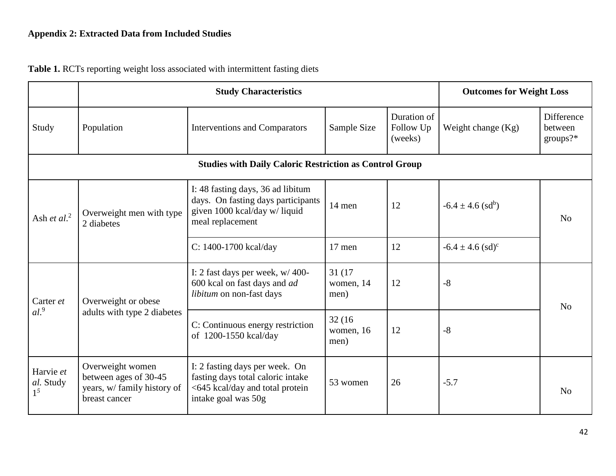|                                 |                                                                                           | <b>Study Characteristics</b>                                                                                                  |                              |                                     |                                   | <b>Outcomes for Weight Loss</b>      |  |  |
|---------------------------------|-------------------------------------------------------------------------------------------|-------------------------------------------------------------------------------------------------------------------------------|------------------------------|-------------------------------------|-----------------------------------|--------------------------------------|--|--|
| Study                           | Population                                                                                | <b>Interventions and Comparators</b>                                                                                          | Sample Size                  | Duration of<br>Follow Up<br>(weeks) | Weight change $(Kg)$              | Difference<br>between<br>$groups$ ?* |  |  |
|                                 |                                                                                           |                                                                                                                               |                              |                                     |                                   |                                      |  |  |
| Ash et $al.^2$                  | Overweight men with type<br>2 diabetes                                                    | I: 48 fasting days, 36 ad libitum<br>days. On fasting days participants<br>given 1000 kcal/day w/ liquid<br>meal replacement  | 14 men                       | 12                                  | $-6.4 \pm 4.6$ (sd <sup>b</sup> ) | No                                   |  |  |
|                                 |                                                                                           | C: 1400-1700 kcal/day                                                                                                         | 17 men                       | 12                                  | $-6.4 \pm 4.6$ (sd) <sup>c</sup>  |                                      |  |  |
| Carter et                       | Overweight or obese                                                                       | I: 2 fast days per week, $w/400$ -<br>600 kcal on fast days and ad<br>libitum on non-fast days                                | 31 (17)<br>women, 14<br>men) | 12                                  | $-8$                              | N <sub>0</sub>                       |  |  |
| al.9                            | adults with type 2 diabetes                                                               | C: Continuous energy restriction<br>of 1200-1550 kcal/day                                                                     | 32(16)<br>women, 16<br>men)  | 12                                  | $-8$                              |                                      |  |  |
| Harvie et<br>al. Study<br>$1^5$ | Overweight women<br>between ages of 30-45<br>years, w/ family history of<br>breast cancer | I: 2 fasting days per week. On<br>fasting days total caloric intake<br><645 kcal/day and total protein<br>intake goal was 50g | 53 women                     | 26                                  | $-5.7$                            | N <sub>0</sub>                       |  |  |

**Table 1.** RCTs reporting weight loss associated with intermittent fasting diets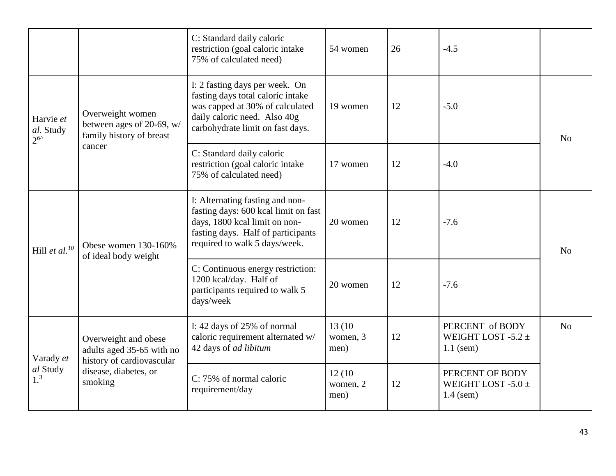|                                   |                                                                                | C: Standard daily caloric<br>restriction (goal caloric intake<br>75% of calculated need)                                                                                        | 54 women                    | 26 | $-4.5$                                                   |                |
|-----------------------------------|--------------------------------------------------------------------------------|---------------------------------------------------------------------------------------------------------------------------------------------------------------------------------|-----------------------------|----|----------------------------------------------------------|----------------|
| Harvie et<br>al. Study<br>$2^{6}$ | Overweight women<br>between ages of 20-69, w/<br>family history of breast      | I: 2 fasting days per week. On<br>fasting days total caloric intake<br>was capped at 30% of calculated<br>daily caloric need. Also 40g<br>carbohydrate limit on fast days.      | 19 women                    | 12 | $-5.0$                                                   | No             |
|                                   | cancer                                                                         | C: Standard daily caloric<br>restriction (goal caloric intake<br>75% of calculated need)                                                                                        | 17 women                    | 12 | $-4.0$                                                   |                |
| Hill et al. $^{10}$               | Obese women 130-160%<br>of ideal body weight                                   | I: Alternating fasting and non-<br>fasting days: 600 kcal limit on fast<br>days, 1800 kcal limit on non-<br>fasting days. Half of participants<br>required to walk 5 days/week. | 20 women                    | 12 | $-7.6$                                                   | No             |
|                                   |                                                                                | C: Continuous energy restriction:<br>1200 kcal/day. Half of<br>participants required to walk 5<br>days/week                                                                     | 20 women                    | 12 | $-7.6$                                                   |                |
| Varady et                         | Overweight and obese<br>adults aged 35-65 with no<br>history of cardiovascular | I: 42 days of 25% of normal<br>caloric requirement alternated w/<br>42 days of ad libitum                                                                                       | 13 (10)<br>women, 3<br>men) | 12 | PERCENT of BODY<br>WEIGHT LOST -5.2 $\pm$<br>$1.1$ (sem) | N <sub>o</sub> |
| al Study<br>1 <sup>3</sup>        | disease, diabetes, or<br>smoking                                               | C: 75% of normal caloric<br>requirement/day                                                                                                                                     | 12(10)<br>women, 2<br>men)  | 12 | PERCENT OF BODY<br>WEIGHT LOST -5.0 $\pm$<br>$1.4$ (sem) |                |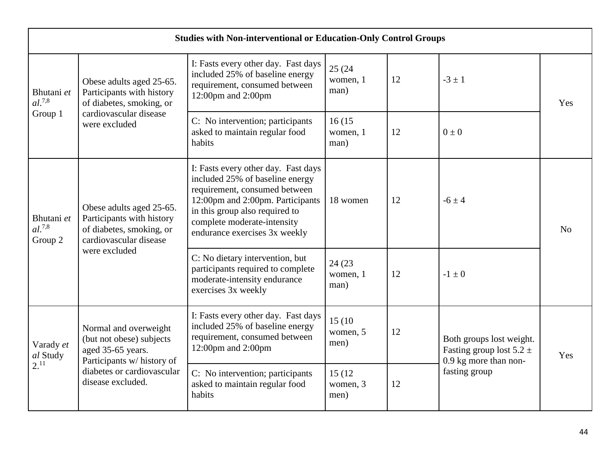|                                      | <b>Studies with Non-interventional or Education-Only Control Groups</b>                                     |                                                                                                                                                                                                                                               |                             |    |                                                                                   |                |  |  |  |  |
|--------------------------------------|-------------------------------------------------------------------------------------------------------------|-----------------------------------------------------------------------------------------------------------------------------------------------------------------------------------------------------------------------------------------------|-----------------------------|----|-----------------------------------------------------------------------------------|----------------|--|--|--|--|
| Bhutani et<br>$al.^{7,8}$<br>Group 1 | Obese adults aged 25-65.<br>Participants with history<br>of diabetes, smoking, or                           | I: Fasts every other day. Fast days<br>included 25% of baseline energy<br>requirement, consumed between<br>12:00pm and 2:00pm                                                                                                                 | 25 (24)<br>women, 1<br>man) | 12 | $-3 \pm 1$                                                                        | Yes            |  |  |  |  |
|                                      | cardiovascular disease<br>were excluded                                                                     | C: No intervention; participants<br>asked to maintain regular food<br>habits                                                                                                                                                                  | 16(15<br>women, 1<br>man)   | 12 | $0 \pm 0$                                                                         |                |  |  |  |  |
| Bhutani et<br>$al.^{7,8}$<br>Group 2 | Obese adults aged 25-65.<br>Participants with history<br>of diabetes, smoking, or<br>cardiovascular disease | I: Fasts every other day. Fast days<br>included 25% of baseline energy<br>requirement, consumed between<br>12:00pm and 2:00pm. Participants<br>in this group also required to<br>complete moderate-intensity<br>endurance exercises 3x weekly | 18 women                    | 12 | $-6 \pm 4$                                                                        | N <sub>o</sub> |  |  |  |  |
|                                      | were excluded                                                                                               | C: No dietary intervention, but<br>participants required to complete<br>moderate-intensity endurance<br>exercises 3x weekly                                                                                                                   | 24 (23)<br>women, 1<br>man) | 12 | $-1 \pm 0$                                                                        |                |  |  |  |  |
| Varady et<br>al Study                | Normal and overweight<br>(but not obese) subjects<br>aged 35-65 years.<br>Participants w/ history of        | I: Fasts every other day. Fast days<br>included 25% of baseline energy<br>requirement, consumed between<br>12:00pm and 2:00pm                                                                                                                 | 15(10)<br>women, 5<br>men)  | 12 | Both groups lost weight.<br>Fasting group lost $5.2 \pm$<br>0.9 kg more than non- | Yes            |  |  |  |  |
| $2^{11}$                             | diabetes or cardiovascular<br>disease excluded.                                                             | C: No intervention; participants<br>asked to maintain regular food<br>habits                                                                                                                                                                  | 15 (12)<br>women, 3<br>men) | 12 | fasting group                                                                     |                |  |  |  |  |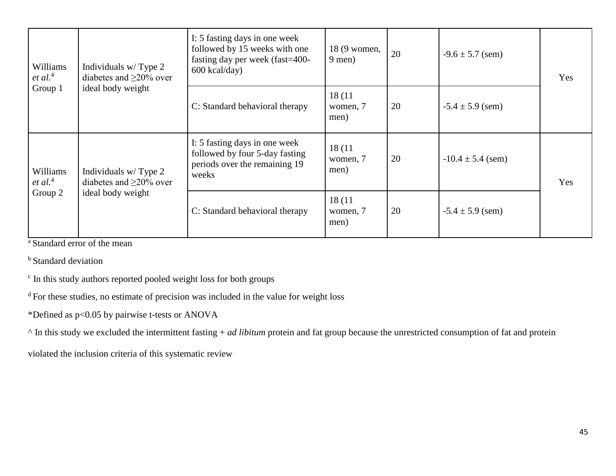| Williams<br>et al. <sup>4</sup> | Individuals w/Type 2<br>diabetes and $\geq$ 20% over | I: 5 fasting days in one week<br>followed by 15 weeks with one<br>fasting day per week (fast=400-<br>$600$ kcal/day) | 18 (9 women,<br>$9$ men)                                 | 20 | $-9.6 \pm 5.7$ (sem)  | Yes |
|---------------------------------|------------------------------------------------------|----------------------------------------------------------------------------------------------------------------------|----------------------------------------------------------|----|-----------------------|-----|
| Group 1                         | ideal body weight                                    | C: Standard behavioral therapy                                                                                       | 18(11)<br>20<br>$-5.4 \pm 5.9$ (sem)<br>women, 7<br>men) |    |                       |     |
| Williams<br>et al. <sup>4</sup> | Individuals w/Type 2<br>diabetes and $\geq$ 20% over | I: 5 fasting days in one week<br>followed by four 5-day fasting<br>periods over the remaining 19<br>weeks            | 18(11)<br>women, 7<br>men)                               | 20 | $-10.4 \pm 5.4$ (sem) | Yes |
| Group 2                         | ideal body weight                                    | C: Standard behavioral therapy                                                                                       | 18(11)<br>women, 7<br>men)                               | 20 | $-5.4 \pm 5.9$ (sem)  |     |

<sup>a</sup> Standard error of the mean

<sup>b</sup> Standard deviation

c In this study authors reported pooled weight loss for both groups

<sup>d</sup>For these studies, no estimate of precision was included in the value for weight loss

\*Defined as p<0.05 by pairwise t-tests or ANOVA

^ In this study we excluded the intermittent fasting + *ad libitum* protein and fat group because the unrestricted consumption of fat and protein

violated the inclusion criteria of this systematic review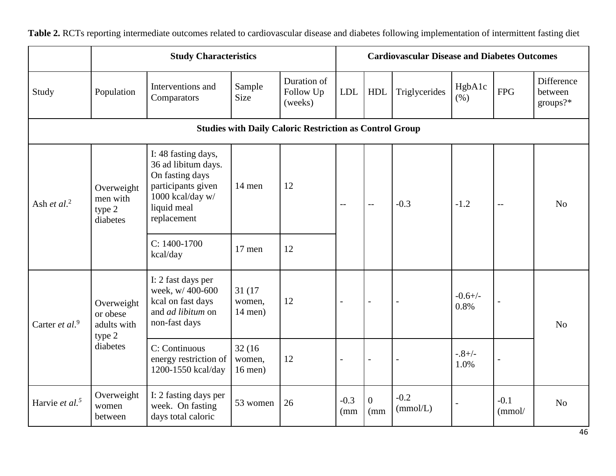**Study Characteristics Cardiovascular Disease and Diabetes Outcomes** Study Population Interventions and **Comparators** Sample Size Duration of Follow Up (weeks) LDL HDL Triglycerides  $\begin{bmatrix} HgbA1c \\ (% )\end{bmatrix}$  $FPG$ **Difference** between groups?\* **Studies with Daily Caloric Restriction as Control Group** Ash *et al*. 2 Overweight men with type 2 diabetes I: 48 fasting days, 36 ad libitum days. On fasting days participants given 1000 kcal/day w/ liquid meal replacement 14 men 12 -- |-- |-0.3 |-1.2 |-- | No  $C: 1400-1700$  $kcal/day$  17 men 12 Carter *et al*. 9 Overweight or obese adults with type 2 diabetes I: 2 fast days per week, w/ 400-600 kcal on fast days and *ad libitum* on non-fast days 31 (17 women, 14 men)  $12$   $-$ -0.6+/-  $0.8%$ No C: Continuous energy restriction of 1200-1550 kcal/day 32 (16 women, 16 men)  $12$   $-0.8+/-$ 1.0% - Harvie *et al.<sup>5</sup>* Overweight women between I: 2 fasting days per week. On fasting days total caloric 53 women 26 -0.3 (mm  $\Omega$ (mm -0.2  $(mmol/L)$ -0.1 (mmol/ No

**Table 2.** RCTs reporting intermediate outcomes related to cardiovascular disease and diabetes following implementation of intermittent fasting diet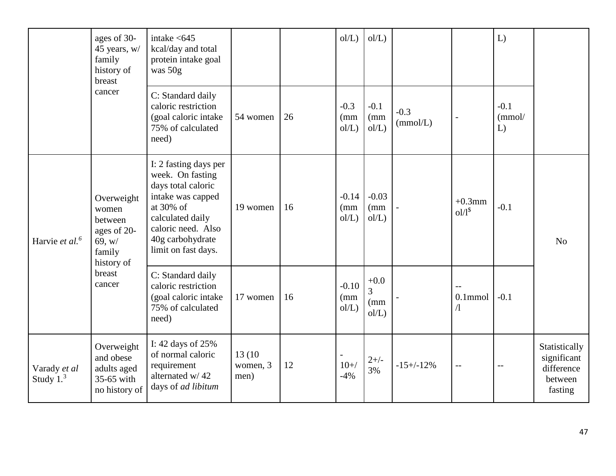|                            | ages of 30-<br>45 years, w/<br>family<br>history of<br>breast                   | intake $< 645$<br>kcal/day and total<br>protein intake goal<br>was 50g                                                                                                                 |                             |    | ol/L                    | ol/L                         |                    |                                   | L)                     |                                                                  |
|----------------------------|---------------------------------------------------------------------------------|----------------------------------------------------------------------------------------------------------------------------------------------------------------------------------------|-----------------------------|----|-------------------------|------------------------------|--------------------|-----------------------------------|------------------------|------------------------------------------------------------------|
|                            | cancer                                                                          | C: Standard daily<br>caloric restriction<br>(goal caloric intake<br>75% of calculated<br>need)                                                                                         | 54 women                    | 26 | $-0.3$<br>(mm)<br>ol/L  | $-0.1$<br>(mm)<br>ol/L       | $-0.3$<br>(mmol/L) |                                   | $-0.1$<br>(mmol/<br>L) |                                                                  |
| Harvie et al. <sup>6</sup> | Overweight<br>women<br>between<br>ages of 20-<br>69, w/<br>family<br>history of | I: 2 fasting days per<br>week. On fasting<br>days total caloric<br>intake was capped<br>at 30% of<br>calculated daily<br>caloric need. Also<br>40g carbohydrate<br>limit on fast days. | 19 women                    | 16 | $-0.14$<br>(mm)<br>ol/L | $-0.03$<br>(mm)<br>ol/L      |                    | $+0.3$ mm<br>$01/1$ <sup>\$</sup> | $-0.1$                 | N <sub>o</sub>                                                   |
|                            | breast<br>cancer                                                                | C: Standard daily<br>caloric restriction<br>(goal caloric intake<br>75% of calculated<br>need)                                                                                         | 17 women                    | 16 | $-0.10$<br>(mm)<br>ol/L | $+0.0$<br>3<br>(mm)<br>ol/L) |                    | $0.1$ mmol<br>$\Lambda$           | $-0.1$                 |                                                                  |
| Varady et al<br>Study $13$ | Overweight<br>and obese<br>adults aged<br>35-65 with<br>no history of           | I: 42 days of 25%<br>of normal caloric<br>requirement<br>alternated w/42<br>days of ad libitum                                                                                         | 13 (10)<br>women, 3<br>men) | 12 | $10+$ /<br>$-4%$        | $2+/-$<br>3%                 | $-15+/-12%$        | $-$                               | $-$                    | Statistically<br>significant<br>difference<br>between<br>fasting |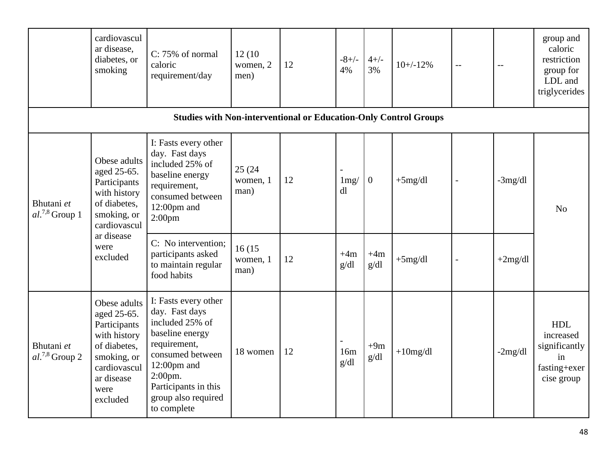|                                   | cardiovascul<br>ar disease,<br>diabetes, or<br>smoking                                                                                       | C: 75% of normal<br>caloric<br>requirement/day                                                                                                                                                              | 12(10)<br>women, 2<br>men)  | 12 | $-8+/-$<br>4% | $4+/-$<br>3%  | $10+/12%$   | $\mathord{\hspace{1pt}\text{--}\hspace{1pt}}$ | $ -$       | group and<br>caloric<br>restriction<br>group for<br>LDL and<br>triglycerides |
|-----------------------------------|----------------------------------------------------------------------------------------------------------------------------------------------|-------------------------------------------------------------------------------------------------------------------------------------------------------------------------------------------------------------|-----------------------------|----|---------------|---------------|-------------|-----------------------------------------------|------------|------------------------------------------------------------------------------|
|                                   |                                                                                                                                              | <b>Studies with Non-interventional or Education-Only Control Groups</b>                                                                                                                                     |                             |    |               |               |             |                                               |            |                                                                              |
| Bhutani et<br>$al.^{7,8}$ Group 1 | Obese adults<br>aged 25-65.<br>Participants<br>with history<br>of diabetes,<br>smoking, or<br>cardiovascul                                   | I: Fasts every other<br>day. Fast days<br>included 25% of<br>baseline energy<br>requirement,<br>consumed between<br>$12:00$ pm and<br>2:00 <sub>pm</sub>                                                    | 25 (24)<br>women, 1<br>man) | 12 | 1mg/<br>dl    | $\mathbf{0}$  | $+5mg/dl$   | $\blacksquare$                                | $-3$ mg/dl | N <sub>o</sub>                                                               |
|                                   | ar disease<br>were<br>excluded                                                                                                               | C: No intervention;<br>participants asked<br>to maintain regular<br>food habits                                                                                                                             | 16(15<br>women, 1<br>man)   | 12 | $+4m$<br>g/dl | $+4m$<br>g/dl | $+5mg/dl$   | $\overline{a}$                                | $+2mg/dl$  |                                                                              |
| Bhutani et<br>$al.^{7,8}$ Group 2 | Obese adults<br>aged 25-65.<br>Participants<br>with history<br>of diabetes,<br>smoking, or<br>cardiovascul<br>ar disease<br>were<br>excluded | I: Fasts every other<br>day. Fast days<br>included 25% of<br>baseline energy<br>requirement,<br>consumed between<br>$12:00$ pm and<br>2:00pm.<br>Participants in this<br>group also required<br>to complete | 18 women                    | 12 | 16m<br>g/dl   | $+9m$<br>g/dl | $+10$ mg/dl |                                               | $-2mg/dl$  | <b>HDL</b><br>increased<br>significantly<br>in<br>fasting+exer<br>cise group |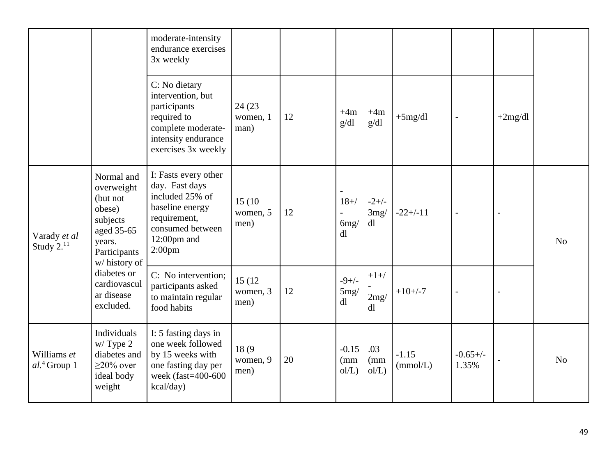|                                 |                                                                                                                    | moderate-intensity<br>endurance exercises<br>3x weekly                                                                                                   |                             |    |                                         |                       |                     |                     |           |                |
|---------------------------------|--------------------------------------------------------------------------------------------------------------------|----------------------------------------------------------------------------------------------------------------------------------------------------------|-----------------------------|----|-----------------------------------------|-----------------------|---------------------|---------------------|-----------|----------------|
|                                 |                                                                                                                    | C: No dietary<br>intervention, but<br>participants<br>required to<br>complete moderate-<br>intensity endurance<br>exercises 3x weekly                    | 24 (23)<br>women, 1<br>man) | 12 | $+4m$<br>g/dl                           | $+4m$<br>g/dl         | $+5mg/dl$           |                     | $+2mg/dl$ |                |
| Varady et al<br>Study $2.^{11}$ | Normal and<br>overweight<br>(but not<br>obese)<br>subjects<br>aged 35-65<br>years.<br>Participants<br>w/history of | I: Fasts every other<br>day. Fast days<br>included 25% of<br>baseline energy<br>requirement,<br>consumed between<br>$12:00$ pm and<br>2:00 <sub>pm</sub> | 15 (10)<br>women, 5<br>men) | 12 | $\overline{a}$<br>$18+$ /<br>6mg/<br>dl | $-2+/-$<br>3mg/<br>dl | $-22+/-11$          |                     |           | N <sub>o</sub> |
|                                 | diabetes or<br>cardiovascul<br>ar disease<br>excluded.                                                             | C: No intervention;<br>participants asked<br>to maintain regular<br>food habits                                                                          | 15 (12)<br>women, 3<br>men) | 12 | $-9+/-$<br>5mg/<br>dl                   | $+1+$ /<br>2mg/<br>dl | $+10 + -7$          | $\overline{a}$      |           |                |
| Williams et<br>$al.4$ Group 1   | Individuals<br>$w/T$ ype 2<br>diabetes and<br>$\geq$ 20% over<br>ideal body<br>weight                              | I: 5 fasting days in<br>one week followed<br>by 15 weeks with<br>one fasting day per<br>week $(fast=400-600)$<br>kcal/day)                               | 18(9)<br>women, 9<br>men)   | 20 | $-0.15$<br>(mm)<br>ol/L                 | .03<br>(mm)<br>ol/L   | $-1.15$<br>(mmol/L) | $-0.65+/-$<br>1.35% |           | N <sub>o</sub> |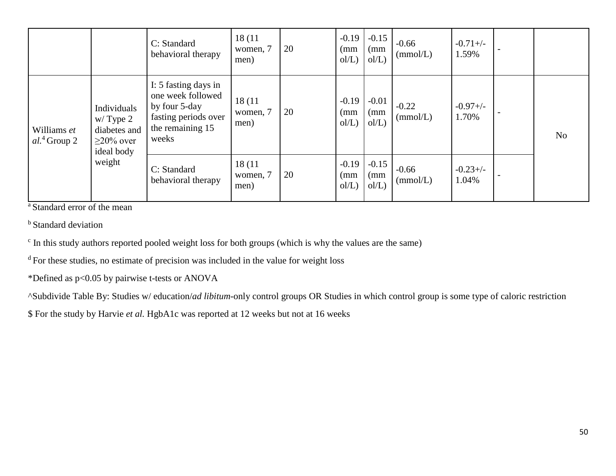|                               |                                                                             | C: Standard<br>behavioral therapy                                                                               | 18(11)<br>women, 7<br>men) | 20 | $-0.19$<br>(mm)<br>ol/L) | $-0.15$<br>(mm)<br>ol/L) | $-0.66$<br>(mmol/L) | $-0.71 +/-$<br>1.59% |                |
|-------------------------------|-----------------------------------------------------------------------------|-----------------------------------------------------------------------------------------------------------------|----------------------------|----|--------------------------|--------------------------|---------------------|----------------------|----------------|
| Williams et<br>$al.4$ Group 2 | Individuals<br>$w/T$ ype 2<br>diabetes and<br>$\geq$ 20% over<br>ideal body | I: 5 fasting days in<br>one week followed<br>by four 5-day<br>fasting periods over<br>the remaining 15<br>weeks | 18(11)<br>women, 7<br>men) | 20 | $-0.19$<br>(mm)<br>ol/L) | $-0.01$<br>(mm)<br>ol/L) | $-0.22$<br>(mmol/L) | $-0.97+/-$<br>1.70%  | N <sub>o</sub> |
|                               | weight                                                                      | C: Standard<br>behavioral therapy                                                                               | 18(11)<br>women, 7<br>men) | 20 | $-0.19$<br>(mm)<br>ol/L) | $-0.15$<br>(mm)<br>ol/L) | $-0.66$<br>(mmol/L) | $-0.23+/-$<br>1.04%  |                |

<sup>a</sup> Standard error of the mean

<sup>b</sup> Standard deviation

<sup>c</sup> In this study authors reported pooled weight loss for both groups (which is why the values are the same)

 $d$ For these studies, no estimate of precision was included in the value for weight loss

\*Defined as p<0.05 by pairwise t-tests or ANOVA

^Subdivide Table By: Studies w/ education/*ad libitum*-only control groups OR Studies in which control group is some type of caloric restriction

\$ For the study by Harvie *et al.* HgbA1c was reported at 12 weeks but not at 16 weeks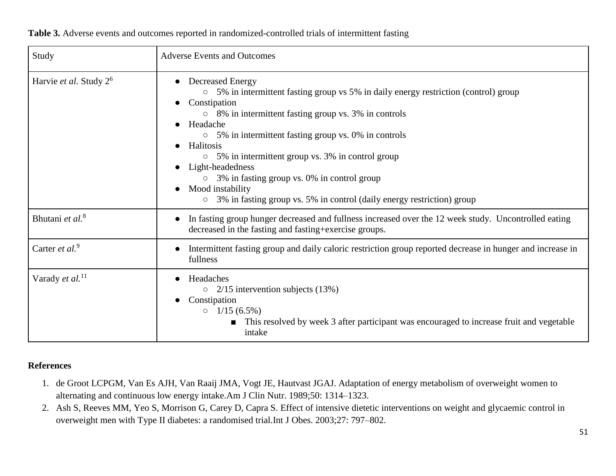| Study                              | <b>Adverse Events and Outcomes</b>                                                                                                                                                                                                                                                                                                                                                                                                                                                                                                   |  |
|------------------------------------|--------------------------------------------------------------------------------------------------------------------------------------------------------------------------------------------------------------------------------------------------------------------------------------------------------------------------------------------------------------------------------------------------------------------------------------------------------------------------------------------------------------------------------------|--|
| Harvie et al. Study 2 <sup>6</sup> | <b>Decreased Energy</b><br>5% in intermittent fasting group vs 5% in daily energy restriction (control) group<br>$\circ$<br>Constipation<br>$\circ$ 8% in intermittent fasting group vs. 3% in controls<br>Headache<br>$\circ$ 5% in intermittent fasting group vs. 0% in controls<br>Halitosis<br>$\circ$ 5% in intermittent group vs. 3% in control group<br>Light-headedness<br>$\circ$ 3% in fasting group vs. 0% in control group<br>Mood instability<br>3% in fasting group vs. 5% in control (daily energy restriction) group |  |
| Bhutani et al. <sup>8</sup>        | In fasting group hunger decreased and fullness increased over the 12 week study. Uncontrolled eating<br>decreased in the fasting and fasting+exercise groups.                                                                                                                                                                                                                                                                                                                                                                        |  |
| Carter et al. <sup>9</sup>         | Intermittent fasting group and daily caloric restriction group reported decrease in hunger and increase in<br>fullness                                                                                                                                                                                                                                                                                                                                                                                                               |  |
| Varady et al. <sup>11</sup>        | Headaches<br>$\circ$ 2/15 intervention subjects (13%)<br>Constipation<br>$\circ$ 1/15 (6.5%)<br>This resolved by week 3 after participant was encouraged to increase fruit and vegetable<br>intake                                                                                                                                                                                                                                                                                                                                   |  |

## **References**

- 1. de Groot LCPGM, Van Es AJH, Van Raaij JMA, Vogt JE, Hautvast JGAJ. Adaptation of energy metabolism of overweight women to alternating and continuous low energy intake.Am J Clin Nutr. 1989;50: 1314–1323.
- 2. Ash S, Reeves MM, Yeo S, Morrison G, Carey D, Capra S. Effect of intensive dietetic interventions on weight and glycaemic control in overweight men with Type II diabetes: a randomised trial.Int J Obes. 2003;27: 797–802.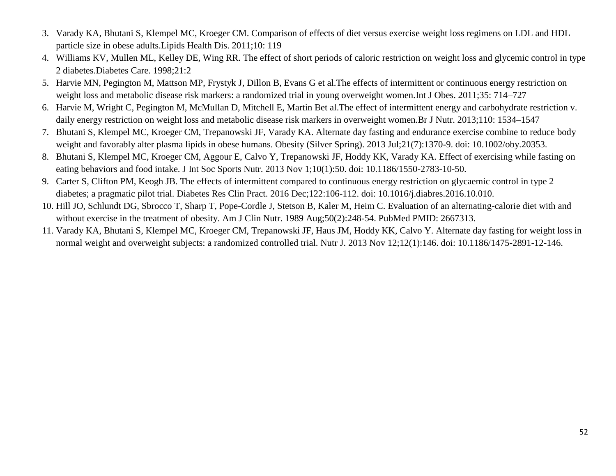- 3. Varady KA, Bhutani S, Klempel MC, Kroeger CM. Comparison of effects of diet versus exercise weight loss regimens on LDL and HDL particle size in obese adults.Lipids Health Dis. 2011;10: 119
- 4. Williams KV, Mullen ML, Kelley DE, Wing RR. The effect of short periods of caloric restriction on weight loss and glycemic control in type 2 diabetes.Diabetes Care. 1998;21:2
- 5. Harvie MN, Pegington M, Mattson MP, Frystyk J, Dillon B, Evans G et al.The effects of intermittent or continuous energy restriction on weight loss and metabolic disease risk markers: a randomized trial in young overweight women.Int J Obes. 2011;35: 714–727
- 6. Harvie M, Wright C, Pegington M, McMullan D, Mitchell E, Martin Bet al.The effect of intermittent energy and carbohydrate restriction v. daily energy restriction on weight loss and metabolic disease risk markers in overweight women.Br J Nutr. 2013;110: 1534–1547
- 7. Bhutani S, Klempel MC, Kroeger CM, Trepanowski JF, Varady KA. Alternate day fasting and endurance exercise combine to reduce body weight and favorably alter plasma lipids in obese humans. Obesity (Silver Spring). 2013 Jul;21(7):1370-9. doi: 10.1002/oby.20353.
- 8. Bhutani S, Klempel MC, Kroeger CM, Aggour E, Calvo Y, Trepanowski JF, Hoddy KK, Varady KA. Effect of exercising while fasting on eating behaviors and food intake. J Int Soc Sports Nutr. 2013 Nov 1;10(1):50. doi: 10.1186/1550-2783-10-50.
- 9. Carter S, Clifton PM, Keogh JB. The effects of intermittent compared to continuous energy restriction on glycaemic control in type 2 diabetes; a pragmatic pilot trial. Diabetes Res Clin Pract. 2016 Dec;122:106-112. doi: 10.1016/j.diabres.2016.10.010.
- 10. Hill JO, Schlundt DG, Sbrocco T, Sharp T, Pope-Cordle J, Stetson B, Kaler M, Heim C. Evaluation of an alternating-calorie diet with and without exercise in the treatment of obesity. Am J Clin Nutr. 1989 Aug;50(2):248-54. PubMed PMID: 2667313.
- 11. Varady KA, Bhutani S, Klempel MC, Kroeger CM, Trepanowski JF, Haus JM, Hoddy KK, Calvo Y. Alternate day fasting for weight loss in normal weight and overweight subjects: a randomized controlled trial. Nutr J. 2013 Nov 12;12(1):146. doi: 10.1186/1475-2891-12-146.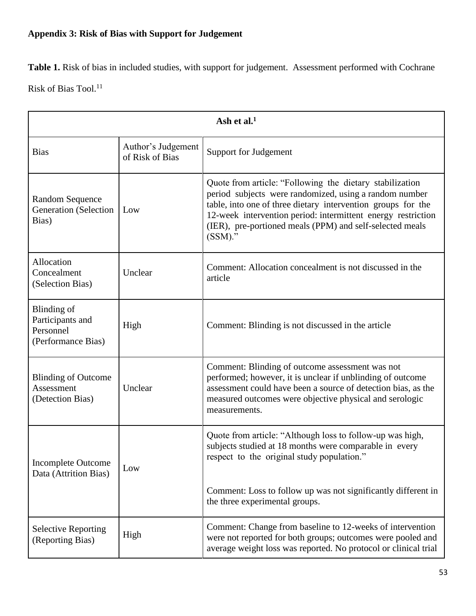# **Appendix 3: Risk of Bias with Support for Judgement**

Table 1. Risk of bias in included studies, with support for judgement. Assessment performed with Cochrane Risk of Bias Tool. $^{11}$ 

| Ash et al. $1$                                                     |                                       |                                                                                                                                                                                                                                                                                                                              |
|--------------------------------------------------------------------|---------------------------------------|------------------------------------------------------------------------------------------------------------------------------------------------------------------------------------------------------------------------------------------------------------------------------------------------------------------------------|
| <b>Bias</b>                                                        | Author's Judgement<br>of Risk of Bias | <b>Support for Judgement</b>                                                                                                                                                                                                                                                                                                 |
| <b>Random Sequence</b><br><b>Generation</b> (Selection<br>Bias)    | Low                                   | Quote from article: "Following the dietary stabilization<br>period subjects were randomized, using a random number<br>table, into one of three dietary intervention groups for the<br>12-week intervention period: intermittent energy restriction<br>(IER), pre-portioned meals (PPM) and self-selected meals<br>$(SSM)$ ." |
| Allocation<br>Concealment<br>(Selection Bias)                      | Unclear                               | Comment: Allocation concealment is not discussed in the<br>article                                                                                                                                                                                                                                                           |
| Blinding of<br>Participants and<br>Personnel<br>(Performance Bias) | High                                  | Comment: Blinding is not discussed in the article                                                                                                                                                                                                                                                                            |
| <b>Blinding of Outcome</b><br>Assessment<br>(Detection Bias)       | Unclear                               | Comment: Blinding of outcome assessment was not<br>performed; however, it is unclear if unblinding of outcome<br>assessment could have been a source of detection bias, as the<br>measured outcomes were objective physical and serologic<br>measurements.                                                                   |
| <b>Incomplete Outcome</b><br>Data (Attrition Bias)                 | Low                                   | Quote from article: "Although loss to follow-up was high,<br>subjects studied at 18 months were comparable in every<br>respect to the original study population."                                                                                                                                                            |
|                                                                    |                                       | Comment: Loss to follow up was not significantly different in<br>the three experimental groups.                                                                                                                                                                                                                              |
| <b>Selective Reporting</b><br>(Reporting Bias)                     | High                                  | Comment: Change from baseline to 12-weeks of intervention<br>were not reported for both groups; outcomes were pooled and<br>average weight loss was reported. No protocol or clinical trial                                                                                                                                  |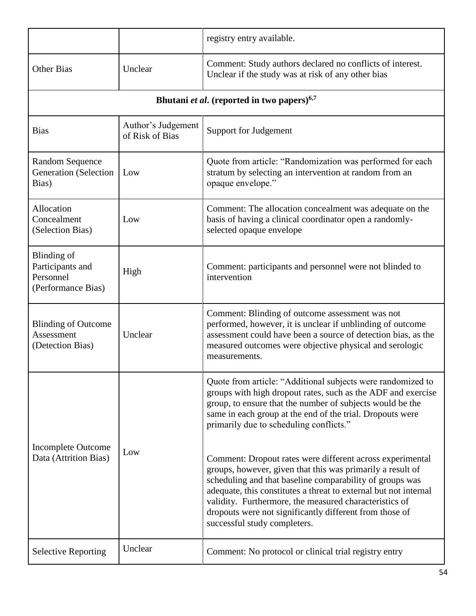|                                                                    |                                       | registry entry available.                                                                                                                                                                                                                                                                                                                                                                                    |
|--------------------------------------------------------------------|---------------------------------------|--------------------------------------------------------------------------------------------------------------------------------------------------------------------------------------------------------------------------------------------------------------------------------------------------------------------------------------------------------------------------------------------------------------|
| <b>Other Bias</b>                                                  | Unclear                               | Comment: Study authors declared no conflicts of interest.<br>Unclear if the study was at risk of any other bias                                                                                                                                                                                                                                                                                              |
|                                                                    |                                       | Bhutani et al. (reported in two papers) <sup>6,7</sup>                                                                                                                                                                                                                                                                                                                                                       |
| <b>Bias</b>                                                        | Author's Judgement<br>of Risk of Bias | <b>Support for Judgement</b>                                                                                                                                                                                                                                                                                                                                                                                 |
| <b>Random Sequence</b><br><b>Generation</b> (Selection<br>Bias)    | Low                                   | Quote from article: "Randomization was performed for each<br>stratum by selecting an intervention at random from an<br>opaque envelope."                                                                                                                                                                                                                                                                     |
| Allocation<br>Concealment<br>(Selection Bias)                      | Low                                   | Comment: The allocation concealment was adequate on the<br>basis of having a clinical coordinator open a randomly-<br>selected opaque envelope                                                                                                                                                                                                                                                               |
| Blinding of<br>Participants and<br>Personnel<br>(Performance Bias) | High                                  | Comment: participants and personnel were not blinded to<br>intervention                                                                                                                                                                                                                                                                                                                                      |
| <b>Blinding of Outcome</b><br>Assessment<br>(Detection Bias)       | Unclear                               | Comment: Blinding of outcome assessment was not<br>performed, however, it is unclear if unblinding of outcome<br>assessment could have been a source of detection bias, as the<br>measured outcomes were objective physical and serologic<br>measurements.                                                                                                                                                   |
| <b>Incomplete Outcome</b><br>Data (Attrition Bias)                 | Low                                   | Quote from article: "Additional subjects were randomized to<br>groups with high dropout rates, such as the ADF and exercise<br>group, to ensure that the number of subjects would be the<br>same in each group at the end of the trial. Dropouts were<br>primarily due to scheduling conflicts."                                                                                                             |
|                                                                    |                                       | Comment: Dropout rates were different across experimental<br>groups, however, given that this was primarily a result of<br>scheduling and that baseline comparability of groups was<br>adequate, this constitutes a threat to external but not internal<br>validity. Furthermore, the measured characteristics of<br>dropouts were not significantly different from those of<br>successful study completers. |
| <b>Selective Reporting</b>                                         | Unclear                               | Comment: No protocol or clinical trial registry entry                                                                                                                                                                                                                                                                                                                                                        |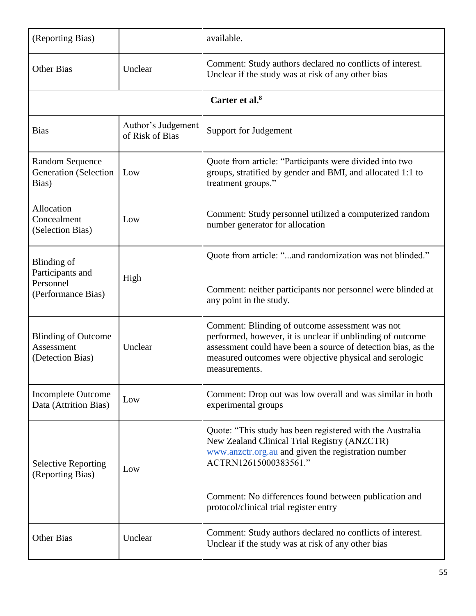| (Reporting Bias)                                                   |                                       | available.                                                                                                                                                                                                                                                                                   |
|--------------------------------------------------------------------|---------------------------------------|----------------------------------------------------------------------------------------------------------------------------------------------------------------------------------------------------------------------------------------------------------------------------------------------|
| <b>Other Bias</b>                                                  | Unclear                               | Comment: Study authors declared no conflicts of interest.<br>Unclear if the study was at risk of any other bias                                                                                                                                                                              |
|                                                                    |                                       | Carter et al. $8$                                                                                                                                                                                                                                                                            |
| <b>Bias</b>                                                        | Author's Judgement<br>of Risk of Bias | Support for Judgement                                                                                                                                                                                                                                                                        |
| <b>Random Sequence</b><br><b>Generation</b> (Selection<br>Bias)    | Low                                   | Quote from article: "Participants were divided into two<br>groups, stratified by gender and BMI, and allocated 1:1 to<br>treatment groups."                                                                                                                                                  |
| Allocation<br>Concealment<br>(Selection Bias)                      | Low                                   | Comment: Study personnel utilized a computerized random<br>number generator for allocation                                                                                                                                                                                                   |
| Blinding of<br>Participants and<br>Personnel<br>(Performance Bias) | High                                  | Quote from article: "and randomization was not blinded."<br>Comment: neither participants nor personnel were blinded at<br>any point in the study.                                                                                                                                           |
| <b>Blinding of Outcome</b><br>Assessment<br>(Detection Bias)       | Unclear                               | Comment: Blinding of outcome assessment was not<br>performed, however, it is unclear if unblinding of outcome<br>assessment could have been a source of detection bias, as the<br>measured outcomes were objective physical and serologic<br>measurements.                                   |
| <b>Incomplete Outcome</b><br>Data (Attrition Bias)                 | Low                                   | Comment: Drop out was low overall and was similar in both<br>experimental groups                                                                                                                                                                                                             |
| <b>Selective Reporting</b><br>(Reporting Bias)                     | Low                                   | Quote: "This study has been registered with the Australia<br>New Zealand Clinical Trial Registry (ANZCTR)<br>www.anzctr.org.au and given the registration number<br>ACTRN12615000383561."<br>Comment: No differences found between publication and<br>protocol/clinical trial register entry |
| <b>Other Bias</b>                                                  | Unclear                               | Comment: Study authors declared no conflicts of interest.<br>Unclear if the study was at risk of any other bias                                                                                                                                                                              |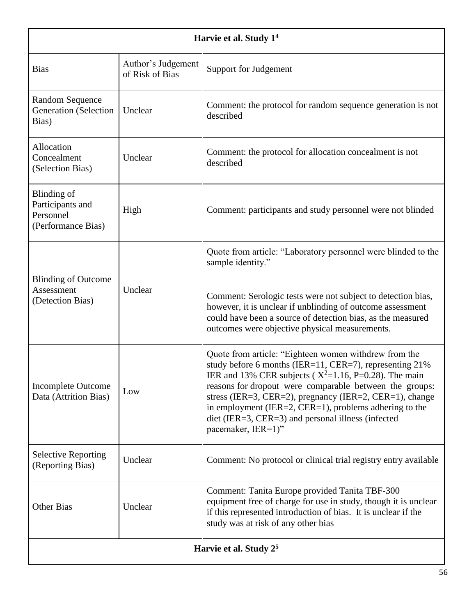| Harvie et al. Study 1 <sup>4</sup>                                 |                                       |                                                                                                                                                                                                                                                                                                                                                                                                                                           |
|--------------------------------------------------------------------|---------------------------------------|-------------------------------------------------------------------------------------------------------------------------------------------------------------------------------------------------------------------------------------------------------------------------------------------------------------------------------------------------------------------------------------------------------------------------------------------|
| <b>Bias</b>                                                        | Author's Judgement<br>of Risk of Bias | <b>Support for Judgement</b>                                                                                                                                                                                                                                                                                                                                                                                                              |
| <b>Random Sequence</b><br><b>Generation</b> (Selection<br>Bias)    | Unclear                               | Comment: the protocol for random sequence generation is not<br>described                                                                                                                                                                                                                                                                                                                                                                  |
| Allocation<br>Concealment<br>(Selection Bias)                      | Unclear                               | Comment: the protocol for allocation concealment is not<br>described                                                                                                                                                                                                                                                                                                                                                                      |
| Blinding of<br>Participants and<br>Personnel<br>(Performance Bias) | High                                  | Comment: participants and study personnel were not blinded                                                                                                                                                                                                                                                                                                                                                                                |
| <b>Blinding of Outcome</b><br>Assessment<br>(Detection Bias)       | Unclear                               | Quote from article: "Laboratory personnel were blinded to the<br>sample identity."<br>Comment: Serologic tests were not subject to detection bias,<br>however, it is unclear if unblinding of outcome assessment<br>could have been a source of detection bias, as the measured<br>outcomes were objective physical measurements.                                                                                                         |
| <b>Incomplete Outcome</b><br>Data (Attrition Bias)                 | Low                                   | Quote from article: "Eighteen women withdrew from the<br>study before 6 months (IER=11, CER=7), representing 21%<br>IER and 13% CER subjects ( $X^2$ =1.16, P=0.28). The main<br>reasons for dropout were comparable between the groups:<br>stress (IER=3, CER=2), pregnancy (IER=2, CER=1), change<br>in employment (IER=2, CER=1), problems adhering to the<br>diet (IER=3, CER=3) and personal illness (infected<br>pacemaker, IER=1)" |
| <b>Selective Reporting</b><br>(Reporting Bias)                     | Unclear                               | Comment: No protocol or clinical trial registry entry available                                                                                                                                                                                                                                                                                                                                                                           |
| <b>Other Bias</b>                                                  | Unclear                               | Comment: Tanita Europe provided Tanita TBF-300<br>equipment free of charge for use in study, though it is unclear<br>if this represented introduction of bias. It is unclear if the<br>study was at risk of any other bias                                                                                                                                                                                                                |
| Harvie et al. Study 2 <sup>5</sup>                                 |                                       |                                                                                                                                                                                                                                                                                                                                                                                                                                           |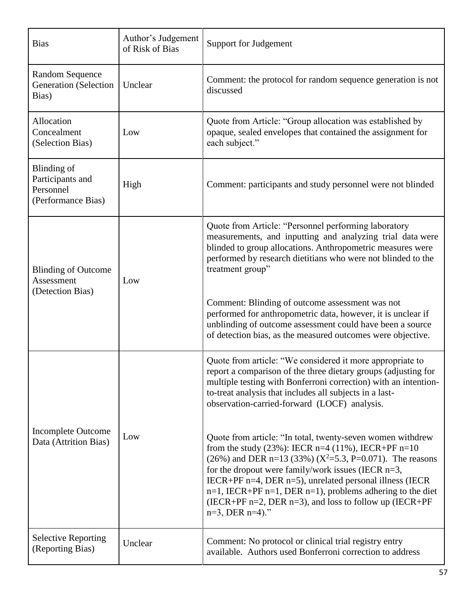| <b>Bias</b>                                                        | Author's Judgement<br>of Risk of Bias | <b>Support for Judgement</b>                                                                                                                                                                                                                                                                                                                                                                                                                                           |
|--------------------------------------------------------------------|---------------------------------------|------------------------------------------------------------------------------------------------------------------------------------------------------------------------------------------------------------------------------------------------------------------------------------------------------------------------------------------------------------------------------------------------------------------------------------------------------------------------|
| <b>Random Sequence</b><br><b>Generation</b> (Selection<br>Bias)    | Unclear                               | Comment: the protocol for random sequence generation is not<br>discussed                                                                                                                                                                                                                                                                                                                                                                                               |
| Allocation<br>Concealment<br>(Selection Bias)                      | Low                                   | Quote from Article: "Group allocation was established by<br>opaque, sealed envelopes that contained the assignment for<br>each subject."                                                                                                                                                                                                                                                                                                                               |
| Blinding of<br>Participants and<br>Personnel<br>(Performance Bias) | High                                  | Comment: participants and study personnel were not blinded                                                                                                                                                                                                                                                                                                                                                                                                             |
| <b>Blinding of Outcome</b><br>Assessment<br>(Detection Bias)       | Low                                   | Quote from Article: "Personnel performing laboratory<br>measurements, and inputting and analyzing trial data were<br>blinded to group allocations. Anthropometric measures were<br>performed by research dietitians who were not blinded to the<br>treatment group"                                                                                                                                                                                                    |
|                                                                    |                                       | Comment: Blinding of outcome assessment was not<br>performed for anthropometric data, however, it is unclear if<br>unblinding of outcome assessment could have been a source<br>of detection bias, as the measured outcomes were objective.                                                                                                                                                                                                                            |
| <b>Incomplete Outcome</b><br>Data (Attrition Bias)                 | Low                                   | Quote from article: "We considered it more appropriate to<br>report a comparison of the three dietary groups (adjusting for<br>multiple testing with Bonferroni correction) with an intention-<br>to-treat analysis that includes all subjects in a last-<br>observation-carried-forward (LOCF) analysis.                                                                                                                                                              |
|                                                                    |                                       | Quote from article: "In total, twenty-seven women withdrew<br>from the study (23%): IECR n=4 (11%), IECR+PF n=10<br>(26%) and DER n=13 (33%) ( $X^2$ =5.3, P=0.071). The reasons<br>for the dropout were family/work issues (IECR n=3,<br>IECR+PF $n=4$ , DER $n=5$ ), unrelated personal illness (IECR<br>$n=1$ , IECR+PF $n=1$ , DER $n=1$ ), problems adhering to the diet<br>(IECR+PF $n=2$ , DER $n=3$ ), and loss to follow up (IECR+PF<br>$n=3$ , DER $n=4$ )." |
| <b>Selective Reporting</b><br>(Reporting Bias)                     | Unclear                               | Comment: No protocol or clinical trial registry entry<br>available. Authors used Bonferroni correction to address                                                                                                                                                                                                                                                                                                                                                      |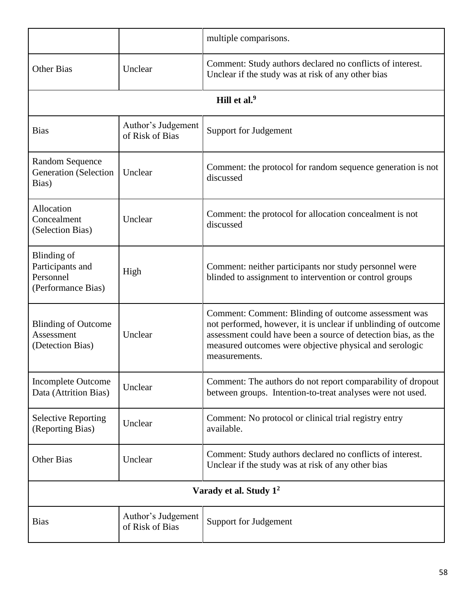|                                                                    |                                       | multiple comparisons.                                                                                                                                                                                                                                               |
|--------------------------------------------------------------------|---------------------------------------|---------------------------------------------------------------------------------------------------------------------------------------------------------------------------------------------------------------------------------------------------------------------|
| <b>Other Bias</b>                                                  | Unclear                               | Comment: Study authors declared no conflicts of interest.<br>Unclear if the study was at risk of any other bias                                                                                                                                                     |
|                                                                    |                                       | Hill et al. <sup>9</sup>                                                                                                                                                                                                                                            |
| <b>Bias</b>                                                        | Author's Judgement<br>of Risk of Bias | Support for Judgement                                                                                                                                                                                                                                               |
| <b>Random Sequence</b><br><b>Generation</b> (Selection<br>Bias)    | Unclear                               | Comment: the protocol for random sequence generation is not<br>discussed                                                                                                                                                                                            |
| Allocation<br>Concealment<br>(Selection Bias)                      | Unclear                               | Comment: the protocol for allocation concealment is not<br>discussed                                                                                                                                                                                                |
| Blinding of<br>Participants and<br>Personnel<br>(Performance Bias) | High                                  | Comment: neither participants nor study personnel were<br>blinded to assignment to intervention or control groups                                                                                                                                                   |
| <b>Blinding of Outcome</b><br>Assessment<br>(Detection Bias)       | Unclear                               | Comment: Comment: Blinding of outcome assessment was<br>not performed, however, it is unclear if unblinding of outcome<br>assessment could have been a source of detection bias, as the<br>measured outcomes were objective physical and serologic<br>measurements. |
| <b>Incomplete Outcome</b><br>Data (Attrition Bias)                 | Unclear                               | Comment: The authors do not report comparability of dropout<br>between groups. Intention-to-treat analyses were not used.                                                                                                                                           |
| <b>Selective Reporting</b><br>(Reporting Bias)                     | Unclear                               | Comment: No protocol or clinical trial registry entry<br>available.                                                                                                                                                                                                 |
| <b>Other Bias</b>                                                  | Unclear                               | Comment: Study authors declared no conflicts of interest.<br>Unclear if the study was at risk of any other bias                                                                                                                                                     |
| Varady et al. Study 1 <sup>2</sup>                                 |                                       |                                                                                                                                                                                                                                                                     |
| <b>Bias</b>                                                        | Author's Judgement<br>of Risk of Bias | Support for Judgement                                                                                                                                                                                                                                               |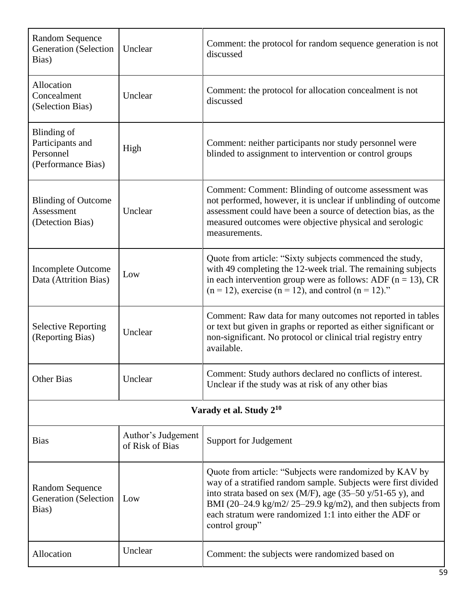| <b>Random Sequence</b><br><b>Generation</b> (Selection<br>Bias)    | Unclear                               | Comment: the protocol for random sequence generation is not<br>discussed                                                                                                                                                                                                                                                          |  |
|--------------------------------------------------------------------|---------------------------------------|-----------------------------------------------------------------------------------------------------------------------------------------------------------------------------------------------------------------------------------------------------------------------------------------------------------------------------------|--|
| <b>Allocation</b><br>Concealment<br>(Selection Bias)               | Unclear                               | Comment: the protocol for allocation concealment is not<br>discussed                                                                                                                                                                                                                                                              |  |
| Blinding of<br>Participants and<br>Personnel<br>(Performance Bias) | High                                  | Comment: neither participants nor study personnel were<br>blinded to assignment to intervention or control groups                                                                                                                                                                                                                 |  |
| <b>Blinding of Outcome</b><br>Assessment<br>(Detection Bias)       | Unclear                               | Comment: Comment: Blinding of outcome assessment was<br>not performed, however, it is unclear if unblinding of outcome<br>assessment could have been a source of detection bias, as the<br>measured outcomes were objective physical and serologic<br>measurements.                                                               |  |
| <b>Incomplete Outcome</b><br>Data (Attrition Bias)                 | Low                                   | Quote from article: "Sixty subjects commenced the study,<br>with 49 completing the 12-week trial. The remaining subjects<br>in each intervention group were as follows: ADF ( $n = 13$ ), CR<br>$(n = 12)$ , exercise $(n = 12)$ , and control $(n = 12)$ ."                                                                      |  |
| <b>Selective Reporting</b><br>(Reporting Bias)                     | Unclear                               | Comment: Raw data for many outcomes not reported in tables<br>or text but given in graphs or reported as either significant or<br>non-significant. No protocol or clinical trial registry entry<br>available.                                                                                                                     |  |
| <b>Other Bias</b>                                                  | Unclear                               | Comment: Study authors declared no conflicts of interest.<br>Unclear if the study was at risk of any other bias                                                                                                                                                                                                                   |  |
| Varady et al. Study 2 <sup>10</sup>                                |                                       |                                                                                                                                                                                                                                                                                                                                   |  |
| <b>Bias</b>                                                        | Author's Judgement<br>of Risk of Bias | Support for Judgement                                                                                                                                                                                                                                                                                                             |  |
| <b>Random Sequence</b><br>Generation (Selection<br>Bias)           | Low                                   | Quote from article: "Subjects were randomized by KAV by<br>way of a stratified random sample. Subjects were first divided<br>into strata based on sex (M/F), age (35–50 y/51-65 y), and<br>BMI (20–24.9 kg/m2/25–29.9 kg/m2), and then subjects from<br>each stratum were randomized 1:1 into either the ADF or<br>control group" |  |
| Allocation                                                         | Unclear                               | Comment: the subjects were randomized based on                                                                                                                                                                                                                                                                                    |  |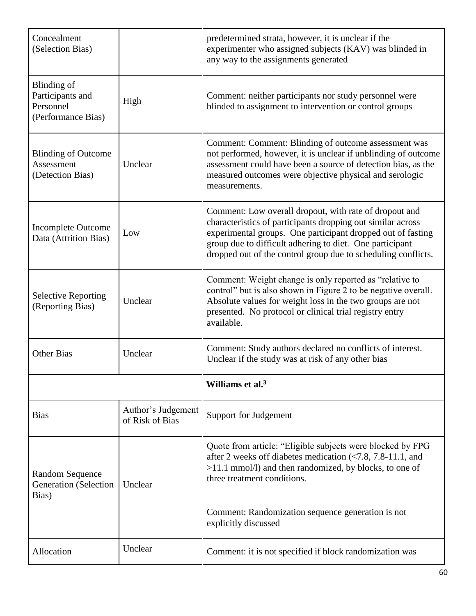| Concealment<br>(Selection Bias)                                           |                                       | predetermined strata, however, it is unclear if the<br>experimenter who assigned subjects (KAV) was blinded in<br>any way to the assignments generated                                                                                                                                                            |
|---------------------------------------------------------------------------|---------------------------------------|-------------------------------------------------------------------------------------------------------------------------------------------------------------------------------------------------------------------------------------------------------------------------------------------------------------------|
| <b>Blinding</b> of<br>Participants and<br>Personnel<br>(Performance Bias) | High                                  | Comment: neither participants nor study personnel were<br>blinded to assignment to intervention or control groups                                                                                                                                                                                                 |
| <b>Blinding of Outcome</b><br>Assessment<br>(Detection Bias)              | Unclear                               | Comment: Comment: Blinding of outcome assessment was<br>not performed, however, it is unclear if unblinding of outcome<br>assessment could have been a source of detection bias, as the<br>measured outcomes were objective physical and serologic<br>measurements.                                               |
| <b>Incomplete Outcome</b><br>Data (Attrition Bias)                        | Low                                   | Comment: Low overall dropout, with rate of dropout and<br>characteristics of participants dropping out similar across<br>experimental groups. One participant dropped out of fasting<br>group due to difficult adhering to diet. One participant<br>dropped out of the control group due to scheduling conflicts. |
| <b>Selective Reporting</b><br>(Reporting Bias)                            | Unclear                               | Comment: Weight change is only reported as "relative to<br>control" but is also shown in Figure 2 to be negative overall.<br>Absolute values for weight loss in the two groups are not<br>presented. No protocol or clinical trial registry entry<br>available.                                                   |
| <b>Other Bias</b>                                                         | Unclear                               | Comment: Study authors declared no conflicts of interest.<br>Unclear if the study was at risk of any other bias                                                                                                                                                                                                   |
|                                                                           |                                       | Williams et al. <sup>3</sup>                                                                                                                                                                                                                                                                                      |
| <b>Bias</b>                                                               | Author's Judgement<br>of Risk of Bias | Support for Judgement                                                                                                                                                                                                                                                                                             |
| <b>Random Sequence</b><br><b>Generation</b> (Selection<br>Bias)           | Unclear                               | Quote from article: "Eligible subjects were blocked by FPG<br>after 2 weeks off diabetes medication $\langle 7.8, 7.8-11.1,$ and<br>$>11.1$ mmol/l) and then randomized, by blocks, to one of<br>three treatment conditions.<br>Comment: Randomization sequence generation is not                                 |
|                                                                           |                                       | explicitly discussed                                                                                                                                                                                                                                                                                              |
| Allocation                                                                | Unclear                               | Comment: it is not specified if block randomization was                                                                                                                                                                                                                                                           |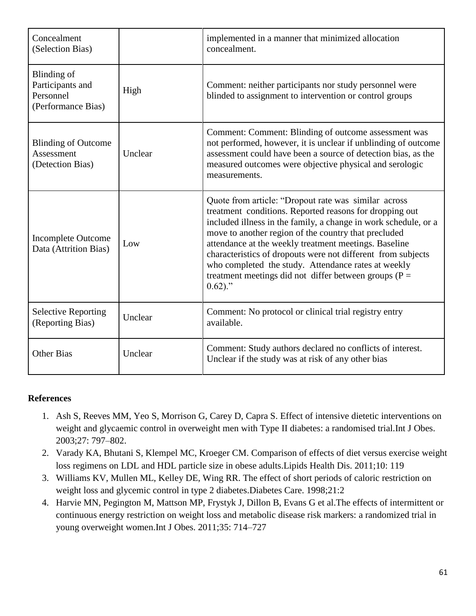| Concealment<br>(Selection Bias)                                           |         | implemented in a manner that minimized allocation<br>concealment.                                                                                                                                                                                                                                                                                                                                                                                                                                    |
|---------------------------------------------------------------------------|---------|------------------------------------------------------------------------------------------------------------------------------------------------------------------------------------------------------------------------------------------------------------------------------------------------------------------------------------------------------------------------------------------------------------------------------------------------------------------------------------------------------|
| <b>Blinding</b> of<br>Participants and<br>Personnel<br>(Performance Bias) | High    | Comment: neither participants nor study personnel were<br>blinded to assignment to intervention or control groups                                                                                                                                                                                                                                                                                                                                                                                    |
| <b>Blinding of Outcome</b><br>Assessment<br>(Detection Bias)              | Unclear | Comment: Comment: Blinding of outcome assessment was<br>not performed, however, it is unclear if unblinding of outcome<br>assessment could have been a source of detection bias, as the<br>measured outcomes were objective physical and serologic<br>measurements.                                                                                                                                                                                                                                  |
| <b>Incomplete Outcome</b><br>Data (Attrition Bias)                        | Low     | Quote from article: "Dropout rate was similar across<br>treatment conditions. Reported reasons for dropping out<br>included illness in the family, a change in work schedule, or a<br>move to another region of the country that precluded<br>attendance at the weekly treatment meetings. Baseline<br>characteristics of dropouts were not different from subjects<br>who completed the study. Attendance rates at weekly<br>treatment meetings did not differ between groups ( $P =$<br>$0.62$ )." |
| <b>Selective Reporting</b><br>(Reporting Bias)                            | Unclear | Comment: No protocol or clinical trial registry entry<br>available.                                                                                                                                                                                                                                                                                                                                                                                                                                  |
| <b>Other Bias</b>                                                         | Unclear | Comment: Study authors declared no conflicts of interest.<br>Unclear if the study was at risk of any other bias                                                                                                                                                                                                                                                                                                                                                                                      |

## **References**

- 1. Ash S, Reeves MM, Yeo S, Morrison G, Carey D, Capra S. Effect of intensive dietetic interventions on weight and glycaemic control in overweight men with Type II diabetes: a randomised trial.Int J Obes. 2003;27: 797–802.
- 2. Varady KA, Bhutani S, Klempel MC, Kroeger CM. Comparison of effects of diet versus exercise weight loss regimens on LDL and HDL particle size in obese adults.Lipids Health Dis. 2011;10: 119
- 3. Williams KV, Mullen ML, Kelley DE, Wing RR. The effect of short periods of caloric restriction on weight loss and glycemic control in type 2 diabetes.Diabetes Care. 1998;21:2
- 4. Harvie MN, Pegington M, Mattson MP, Frystyk J, Dillon B, Evans G et al.The effects of intermittent or continuous energy restriction on weight loss and metabolic disease risk markers: a randomized trial in young overweight women.Int J Obes. 2011;35: 714–727